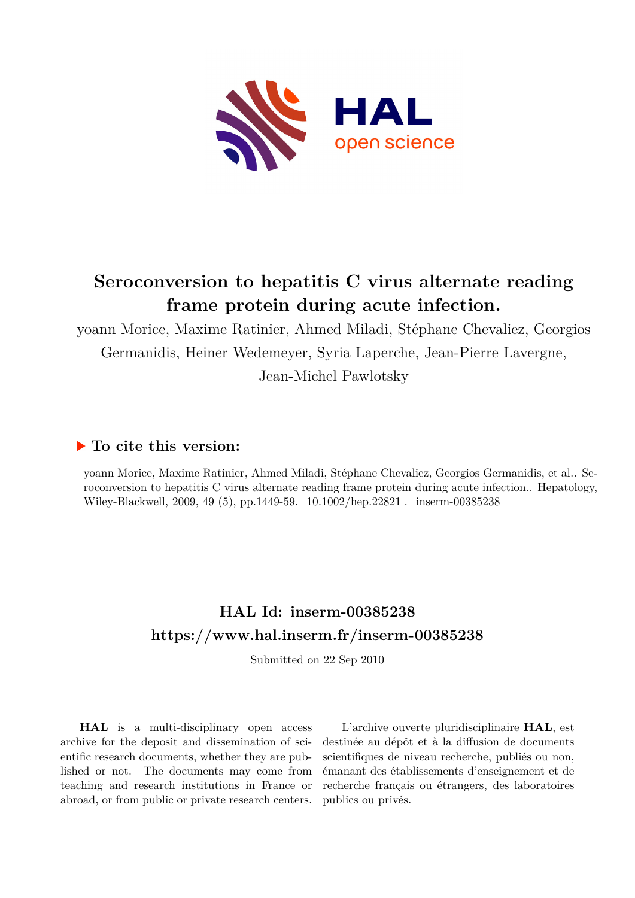

# **Seroconversion to hepatitis C virus alternate reading frame protein during acute infection.**

yoann Morice, Maxime Ratinier, Ahmed Miladi, Stéphane Chevaliez, Georgios Germanidis, Heiner Wedemeyer, Syria Laperche, Jean-Pierre Lavergne, Jean-Michel Pawlotsky

# **To cite this version:**

yoann Morice, Maxime Ratinier, Ahmed Miladi, Stéphane Chevaliez, Georgios Germanidis, et al.. Seroconversion to hepatitis C virus alternate reading frame protein during acute infection.. Hepatology, Wiley-Blackwell, 2009, 49 (5), pp.1449-59.  $10.1002$ /hep.22821 . inserm-00385238

# **HAL Id: inserm-00385238 <https://www.hal.inserm.fr/inserm-00385238>**

Submitted on 22 Sep 2010

**HAL** is a multi-disciplinary open access archive for the deposit and dissemination of scientific research documents, whether they are published or not. The documents may come from teaching and research institutions in France or abroad, or from public or private research centers.

L'archive ouverte pluridisciplinaire **HAL**, est destinée au dépôt et à la diffusion de documents scientifiques de niveau recherche, publiés ou non, émanant des établissements d'enseignement et de recherche français ou étrangers, des laboratoires publics ou privés.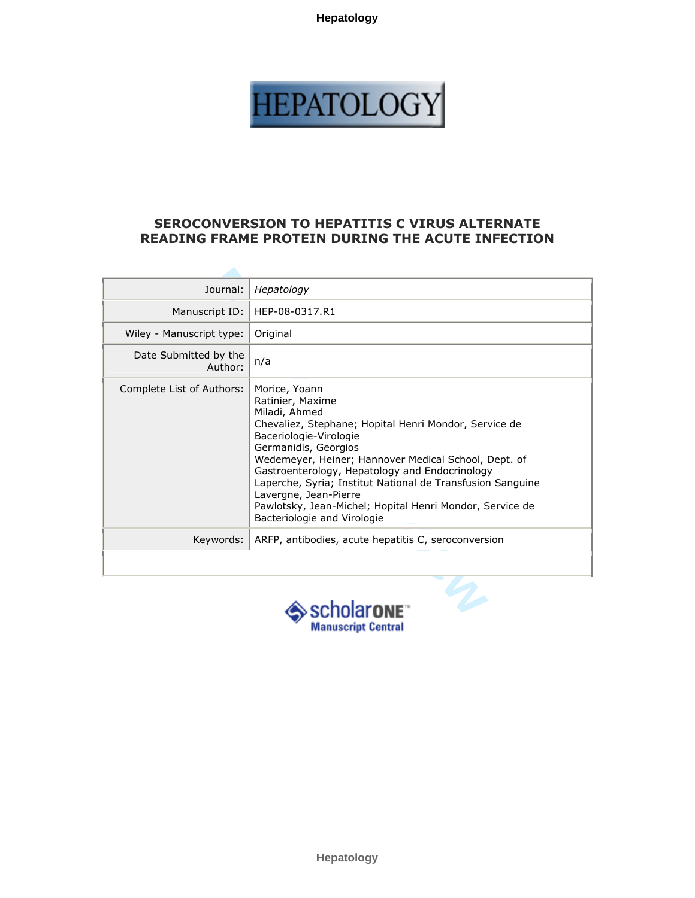

# SEROCONVERSION TO HEPATITIS C VIRUS ALTERNATE READING FRAME PROTEIN DURING THE ACUTE INFECTION

| Hepatology                                                                                                                                                                                                                                                                                                                                                                                                                                                |
|-----------------------------------------------------------------------------------------------------------------------------------------------------------------------------------------------------------------------------------------------------------------------------------------------------------------------------------------------------------------------------------------------------------------------------------------------------------|
| HEP-08-0317.R1                                                                                                                                                                                                                                                                                                                                                                                                                                            |
| Original                                                                                                                                                                                                                                                                                                                                                                                                                                                  |
| n/a                                                                                                                                                                                                                                                                                                                                                                                                                                                       |
| Morice, Yoann<br>Ratinier, Maxime<br>Miladi, Ahmed<br>Chevaliez, Stephane; Hopital Henri Mondor, Service de<br>Baceriologie-Virologie<br>Germanidis, Georgios<br>Wedemeyer, Heiner; Hannover Medical School, Dept. of<br>Gastroenterology, Hepatology and Endocrinology<br>Laperche, Syria; Institut National de Transfusion Sanguine<br>Lavergne, Jean-Pierre<br>Pawlotsky, Jean-Michel; Hopital Henri Mondor, Service de<br>Bacteriologie and Virologie |
| ARFP, antibodies, acute hepatitis C, seroconversion                                                                                                                                                                                                                                                                                                                                                                                                       |
| scholar <b>one</b> ™                                                                                                                                                                                                                                                                                                                                                                                                                                      |
|                                                                                                                                                                                                                                                                                                                                                                                                                                                           |

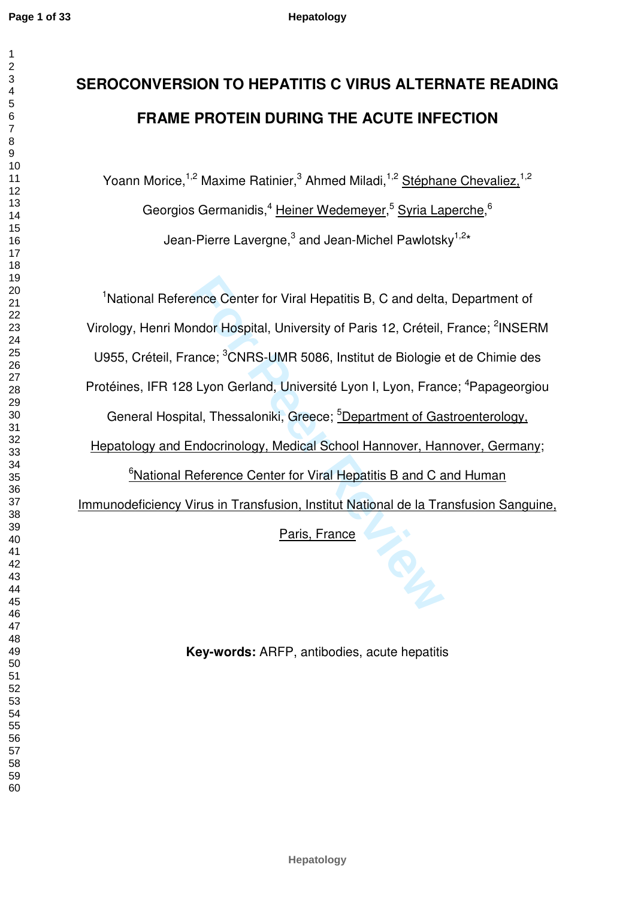$\mathbf{1}$  $\overline{2}$  $\overline{4}$  $\overline{7}$ 

# **SEROCONVERSION TO HEPATITIS C VIRUS ALTERNATE READING FRAME PROTEIN DURING THE ACUTE INFECTION**

Yoann Morice,<sup>1,2</sup> Maxime Ratinier,<sup>3</sup> Ahmed Miladi,<sup>1,2</sup> Stéphane Chevaliez,<sup>1,2</sup> Georgios Germanidis,<sup>4</sup> Heiner Wedemeyer,<sup>5</sup> Syria Laperche,<sup>6</sup> Jean-Pierre Lavergne,<sup>3</sup> and Jean-Michel Pawlotsky<sup>1,2\*</sup>

ence Center for Viral Hepatitis B, C and delta<br>
ndor Hospital, University of Paris 12, Créteil,<br>
ance; <sup>3</sup>CNRS-UMR 5086, Institut de Biologie<br>
Elyon Gerland, Université Lyon I, Lyon, Fran<br>
ral, Thessaloniki, Greece; <u><sup>5</sup>De</u> <sup>1</sup>National Reference Center for Viral Hepatitis B, C and delta, Department of Virology, Henri Mondor Hospital, University of Paris 12, Créteil, France; <sup>2</sup>INSERM U955, Créteil, France; <sup>3</sup>CNRS-UMR 5086, Institut de Biologie et de Chimie des Protéines, IFR 128 Lyon Gerland, Université Lyon I, Lyon, France; <sup>4</sup>Papageorgiou General Hospital, Thessaloniki, Greece; <sup>5</sup>Department of Gastroenterology, Hepatology and Endocrinology, Medical School Hannover, Hannover, Germany; <sup>6</sup>National Reference Center for Viral Hepatitis B and C and Human Immunodeficiency Virus in Transfusion, Institut National de la Transfusion Sanguine, Paris, France

**Key-words:** ARFP, antibodies, acute hepatitis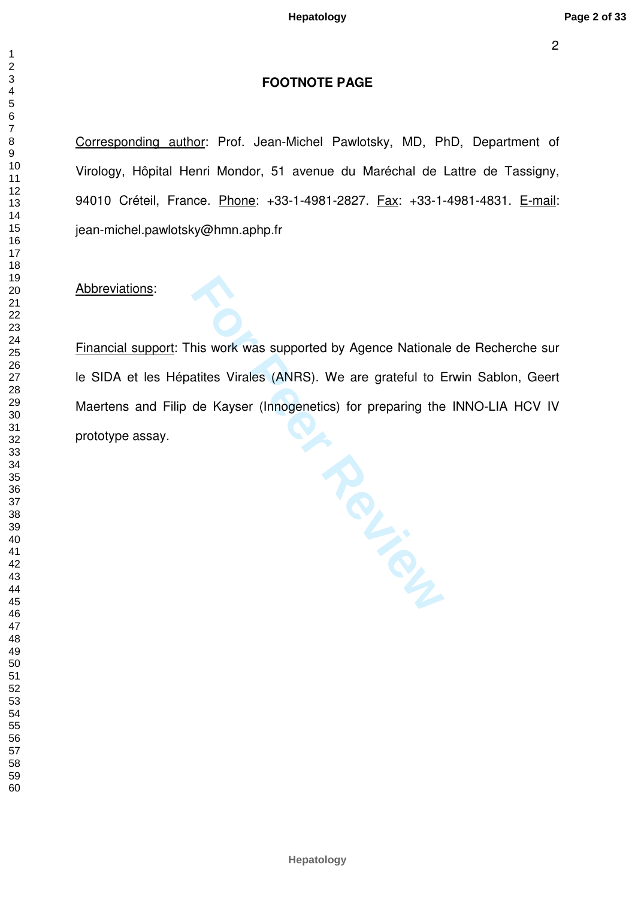# **FOOTNOTE PAGE**

Corresponding author: Prof. Jean-Michel Pawlotsky, MD, PhD, Department of Virology, Hôpital Henri Mondor, 51 avenue du Maréchal de Lattre de Tassigny, 94010 Créteil, France. Phone: +33-1-4981-2827. Fax: +33-1-4981-4831. E-mail: jean-michel.pawlotsky@hmn.aphp.fr

Abbreviations:

**For Peer Review** Financial support: This work was supported by Agence Nationale de Recherche sur le SIDA et les Hépatites Virales (ANRS). We are grateful to Erwin Sablon, Geert Maertens and Filip de Kayser (Innogenetics) for preparing the INNO-LIA HCV IV prototype assay.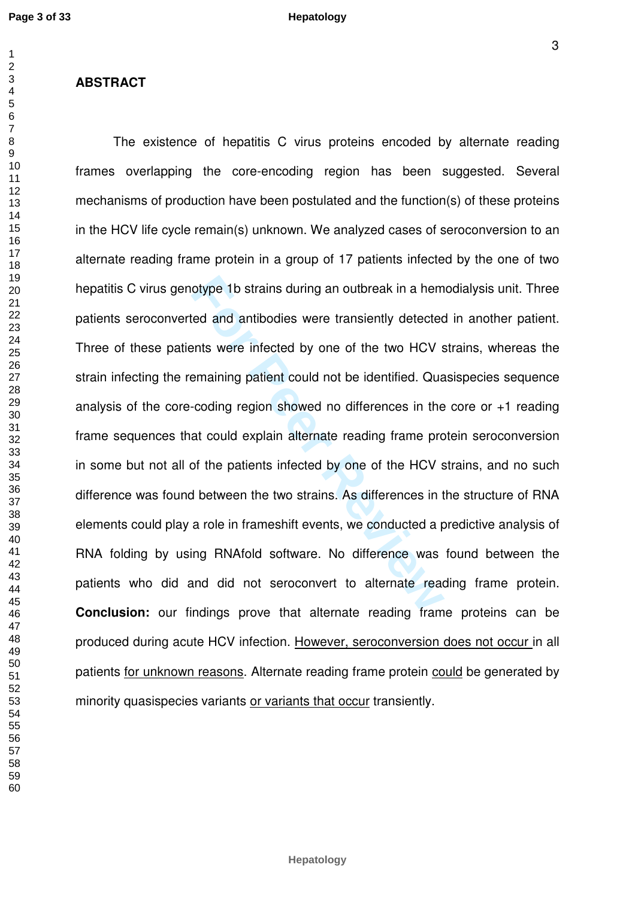### **ABSTRACT**

otype 1b strains during an outbreak in a hem<br>red and antibodies were transiently detected<br>ents were infected by one of the two HCV s<br>emaining patient could not be identified. Qual<br>coding region showed no differences in the The existence of hepatitis C virus proteins encoded by alternate reading frames overlapping the core-encoding region has been suggested. Several mechanisms of production have been postulated and the function(s) of these proteins in the HCV life cycle remain(s) unknown. We analyzed cases of seroconversion to an alternate reading frame protein in a group of 17 patients infected by the one of two hepatitis C virus genotype 1b strains during an outbreak in a hemodialysis unit. Three patients seroconverted and antibodies were transiently detected in another patient. Three of these patients were infected by one of the two HCV strains, whereas the strain infecting the remaining patient could not be identified. Quasispecies sequence analysis of the core-coding region showed no differences in the core or +1 reading frame sequences that could explain alternate reading frame protein seroconversion in some but not all of the patients infected by one of the HCV strains, and no such difference was found between the two strains. As differences in the structure of RNA elements could play a role in frameshift events, we conducted a predictive analysis of RNA folding by using RNAfold software. No difference was found between the patients who did and did not seroconvert to alternate reading frame protein. **Conclusion:** our findings prove that alternate reading frame proteins can be produced during acute HCV infection. However, seroconversion does not occur in all patients for unknown reasons. Alternate reading frame protein could be generated by minority quasispecies variants or variants that occur transiently.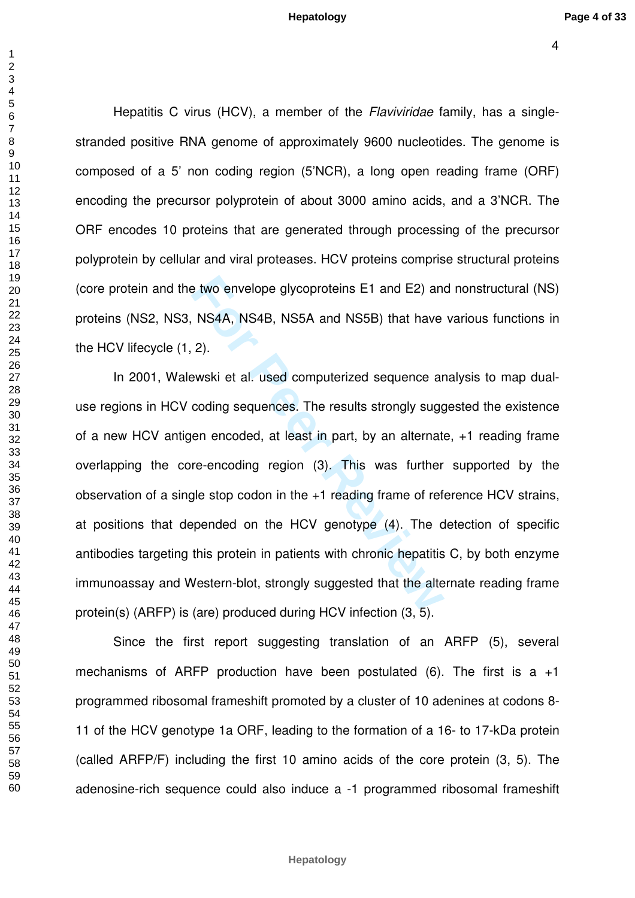$\overline{1}$ 

Hepatitis C virus (HCV), a member of the *Flaviviridae* family, has a singlestranded positive RNA genome of approximately 9600 nucleotides. The genome is composed of a 5' non coding region (5'NCR), a long open reading frame (ORF) encoding the precursor polyprotein of about 3000 amino acids, and a 3'NCR. The ORF encodes 10 proteins that are generated through processing of the precursor polyprotein by cellular and viral proteases. HCV proteins comprise structural proteins (core protein and the two envelope glycoproteins E1 and E2) and nonstructural (NS) proteins (NS2, NS3, NS4A, NS4B, NS5A and NS5B) that have various functions in the HCV lifecycle (1, 2).

**For Peer Review** In 2001, Walewski et al. used computerized sequence analysis to map dualuse regions in HCV coding sequences. The results strongly suggested the existence of a new HCV antigen encoded, at least in part, by an alternate, +1 reading frame overlapping the core-encoding region (3). This was further supported by the observation of a single stop codon in the +1 reading frame of reference HCV strains, at positions that depended on the HCV genotype (4). The detection of specific antibodies targeting this protein in patients with chronic hepatitis C, by both enzyme immunoassay and Western-blot, strongly suggested that the alternate reading frame protein(s) (ARFP) is (are) produced during HCV infection (3, 5).

Since the first report suggesting translation of an ARFP (5), several mechanisms of ARFP production have been postulated (6). The first is a  $+1$ programmed ribosomal frameshift promoted by a cluster of 10 adenines at codons 8- 11 of the HCV genotype 1a ORF, leading to the formation of a 16- to 17-kDa protein (called ARFP/F) including the first 10 amino acids of the core protein (3, 5). The adenosine-rich sequence could also induce a -1 programmed ribosomal frameshift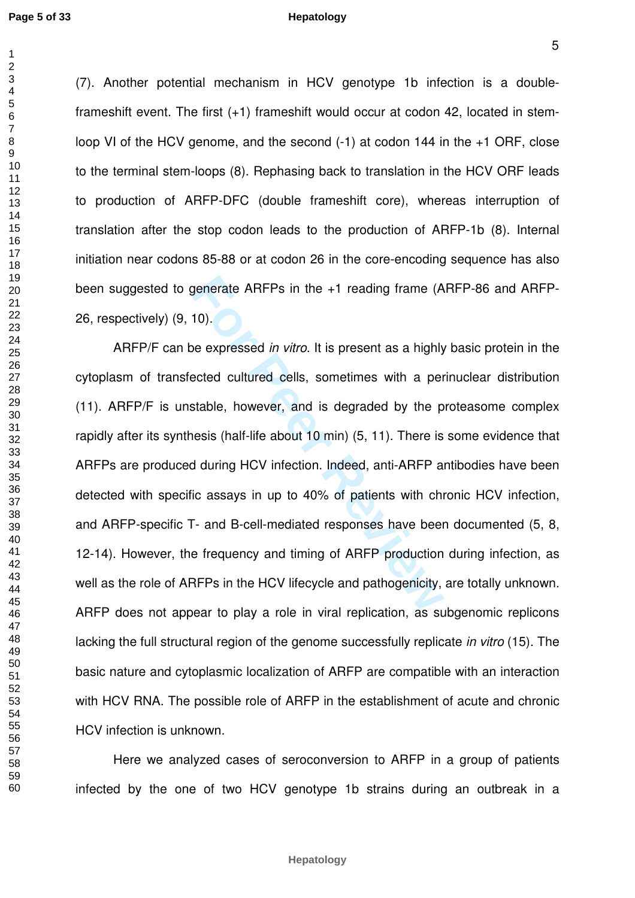$\overline{1}$ 

#### **Hepatology**

(7). Another potential mechanism in HCV genotype 1b infection is a doubleframeshift event. The first (+1) frameshift would occur at codon 42, located in stemloop VI of the HCV genome, and the second (-1) at codon 144 in the +1 ORF, close to the terminal stem-loops (8). Rephasing back to translation in the HCV ORF leads to production of ARFP-DFC (double frameshift core), whereas interruption of translation after the stop codon leads to the production of ARFP-1b (8). Internal initiation near codons 85-88 or at codon 26 in the core-encoding sequence has also been suggested to generate ARFPs in the +1 reading frame (ARFP-86 and ARFP-26, respectively) (9, 10).

generate ARFPs in the +1 reading frame (A<br>10).<br>De expressed *in vitro*. It is present as a highly<br>ected cultured cells, sometimes with a per<br>stable, however, and is degraded by the p<br>nesis (half-life about 10 min) (5, 11). ARFP/F can be expressed in vitro. It is present as a highly basic protein in the cytoplasm of transfected cultured cells, sometimes with a perinuclear distribution (11). ARFP/F is unstable, however, and is degraded by the proteasome complex rapidly after its synthesis (half-life about 10 min) (5, 11). There is some evidence that ARFPs are produced during HCV infection. Indeed, anti-ARFP antibodies have been detected with specific assays in up to 40% of patients with chronic HCV infection, and ARFP-specific T- and B-cell-mediated responses have been documented (5, 8, 12-14). However, the frequency and timing of ARFP production during infection, as well as the role of ARFPs in the HCV lifecycle and pathogenicity, are totally unknown. ARFP does not appear to play a role in viral replication, as subgenomic replicons lacking the full structural region of the genome successfully replicate in vitro (15). The basic nature and cytoplasmic localization of ARFP are compatible with an interaction with HCV RNA. The possible role of ARFP in the establishment of acute and chronic HCV infection is unknown.

 Here we analyzed cases of seroconversion to ARFP in a group of patients infected by the one of two HCV genotype 1b strains during an outbreak in a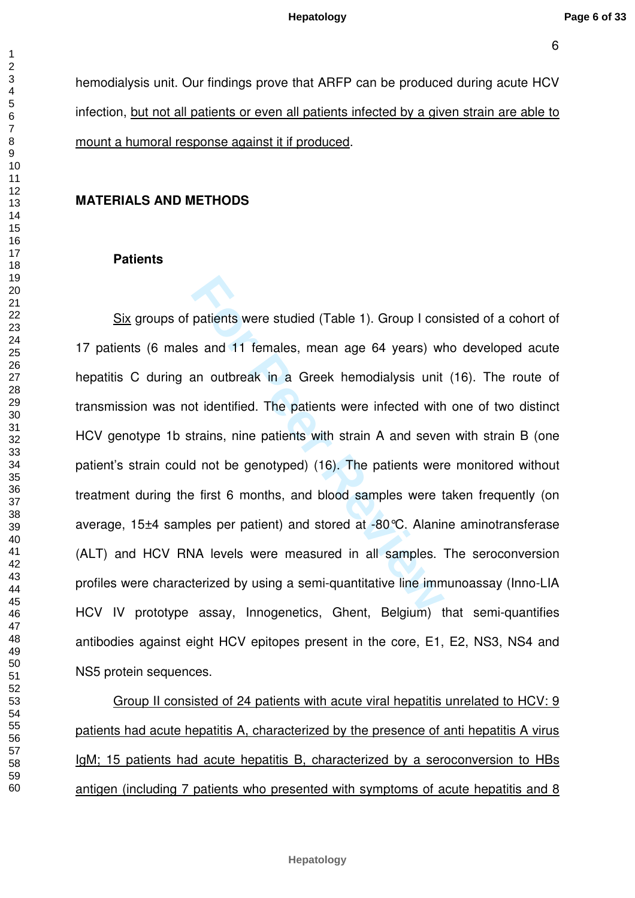$\mathbf{1}$ 

hemodialysis unit. Our findings prove that ARFP can be produced during acute HCV infection, but not all patients or even all patients infected by a given strain are able to mount a humoral response against it if produced .

### **MATERIALS AND METHODS**

#### **Patients**

patients were studied (Table 1). Group I con<br>
s and 11 females, mean age 64 years) wl<br>
an outbreak in a Greek hemodialysis unit<br>
bt identified. The patients were infected with<br>
trains, nine patients with strain A and sevel Six groups of patients were studied (Table 1). Group I consisted of a cohort of 17 patients (6 males and 11 females, mean age 64 years) who developed acute hepatitis C during an outbreak in a Greek hemodialysis unit (16). The route of transmission was not identified. The patients were infected with one of two distinct HCV genotype 1b strains, nine patients with strain A and seven with strain B (one patient's strain could not be genotyped) (16). The patients were monitored without treatment during the first 6 months, and blood samples were taken frequently (on average, 15±4 samples per patient) and stored at -80°C. Alanine aminotransferase (ALT) and HCV RNA levels were measured in all samples. The seroconversion profiles were characterized by using a semi-quantitative line immunoassay (Inno-LIA HCV IV prototype assay, Innogenetics, Ghent, Belgium) that semi-quantifies antibodies against eight HCV epitopes present in the core, E1, E2, NS3, NS4 and NS5 protein sequences.

 Group II consisted of 24 patients with acute viral hepatitis unrelated to HCV: 9 patients had acute hepatitis A, characterized by the presence of anti hepatitis A virus IgM; 15 patients had acute hepatitis B, characterized by a seroconversion to HBs antigen (including 7 patients who presented with symptoms of acute hepatitis and 8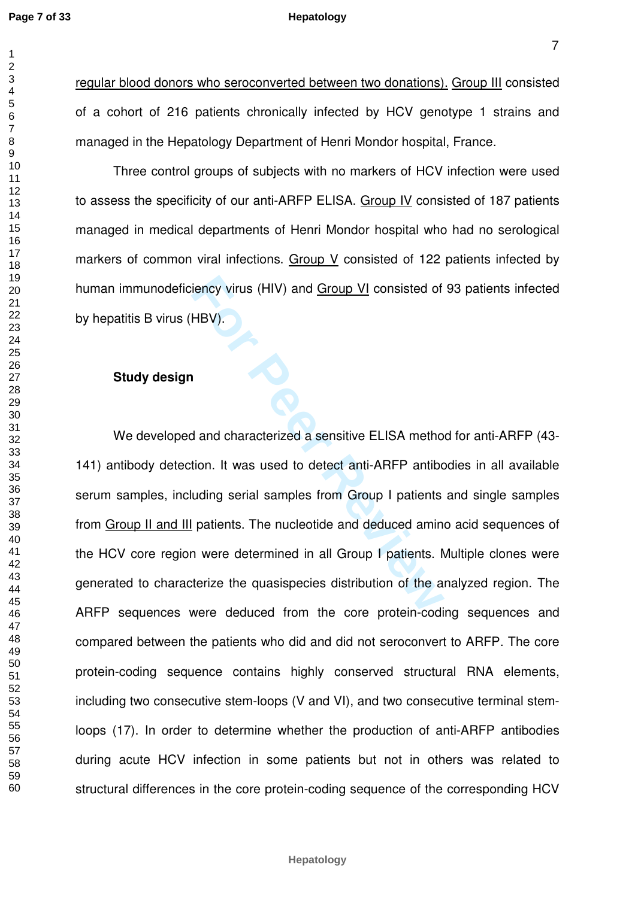$\mathbf{1}$ 

#### **Hepatology**

regular blood donors who seroconverted between two donations). Group III consisted of a cohort of 216 patients chronically infected by HCV genotype 1 strains and managed in the Hepatology Department of Henri Mondor hospital, France.

Three control groups of subjects with no markers of HCV infection were used to assess the specificity of our anti-ARFP ELISA. Group IV consisted of 187 patients managed in medical departments of Henri Mondor hospital who had no serological markers of common viral infections. Group V consisted of 122 patients infected by human immunodeficiency virus (HIV) and Group VI consisted of 93 patients infected by hepatitis B virus (HBV).

# **Study design**

For Persons (HIV) and <u>Group VI</u> consisted of<br>
HBV).<br> **For Persons A and characterized a sensitive ELISA methotion.**<br>
It was used to detect anti-ARFP antibouding serial samples from Group I patients<br>
patients. The nucleoti We developed and characterized a sensitive ELISA method for anti-ARFP (43- 141) antibody detection. It was used to detect anti-ARFP antibodies in all available serum samples, including serial samples from Group I patients and single samples from Group II and III patients. The nucleotide and deduced amino acid sequences of the HCV core region were determined in all Group I patients. Multiple clones were generated to characterize the quasispecies distribution of the analyzed region. The ARFP sequences were deduced from the core protein-coding sequences and compared between the patients who did and did not seroconvert to ARFP. The core protein-coding sequence contains highly conserved structural RNA elements, including two consecutive stem-loops (V and VI), and two consecutive terminal stemloops (17). In order to determine whether the production of anti-ARFP antibodies during acute HCV infection in some patients but not in others was related to structural differences in the core protein-coding sequence of the corresponding HCV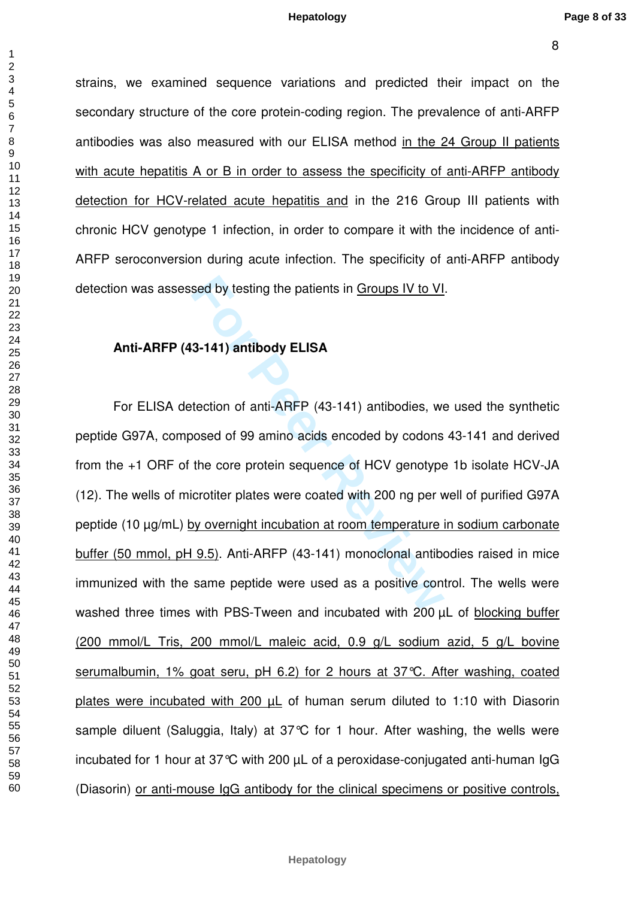strains, we examined sequence variations and predicted their impact on the secondary structure of the core protein-coding region. The prevalence of anti-ARFP antibodies was also measured with our ELISA method in the 24 Group II patients with acute hepatitis A or B in order to assess the specificity of anti-ARFP antibody detection for HCV-related acute hepatitis and in the 216 Group III patients with chronic HCV genotype 1 infection, in order to compare it with the incidence of anti-ARFP seroconversion during acute infection. The specificity of anti-ARFP antibody detection was assessed by testing the patients in Groups IV to VI.

### **Anti-ARFP (43-141) antibody ELISA**

sed by testing the patients in <u>Groups IV to VI</u><br> **For Peer ST 411** antibody ELISA<br>
tection of anti-ARFP (43-141) antibodies, we<br>
oosed of 99 amino acids encoded by codons<br>
the core protein sequence of HCV genotype<br>
crotit For ELISA detection of anti-ARFP (43-141) antibodies, we used the synthetic peptide G97A, composed of 99 amino acids encoded by codons 43-141 and derived from the +1 ORF of the core protein sequence of HCV genotype 1b isolate HCV-JA (12). The wells of microtiter plates were coated with 200 ng per well of purified G97A peptide (10 µg/mL) by overnight incubation at room temperature in sodium carbonate buffer (50 mmol, pH 9.5). Anti-ARFP (43-141) monoclonal antibodies raised in mice immunized with the same peptide were used as a positive control. The wells were washed three times with PBS-Tween and incubated with 200  $\mu$ L of blocking buffer (200 mmol/L Tris, 200 mmol/L maleic acid, 0.9 g/L sodium azid, 5 g/L bovine serumalbumin, 1% goat seru, pH 6.2) for 2 hours at 37°C. After washing, coated plates were incubated with 200  $\mu$ L of human serum diluted to 1:10 with Diasorin sample diluent (Saluggia, Italy) at 37°C for 1 hour. After washing, the wells were incubated for 1 hour at 37°C with 200 µL of a peroxidase-conjugated anti-human IgG (Diasorin) or anti-mouse IgG antibody for the clinical specimens or positive controls,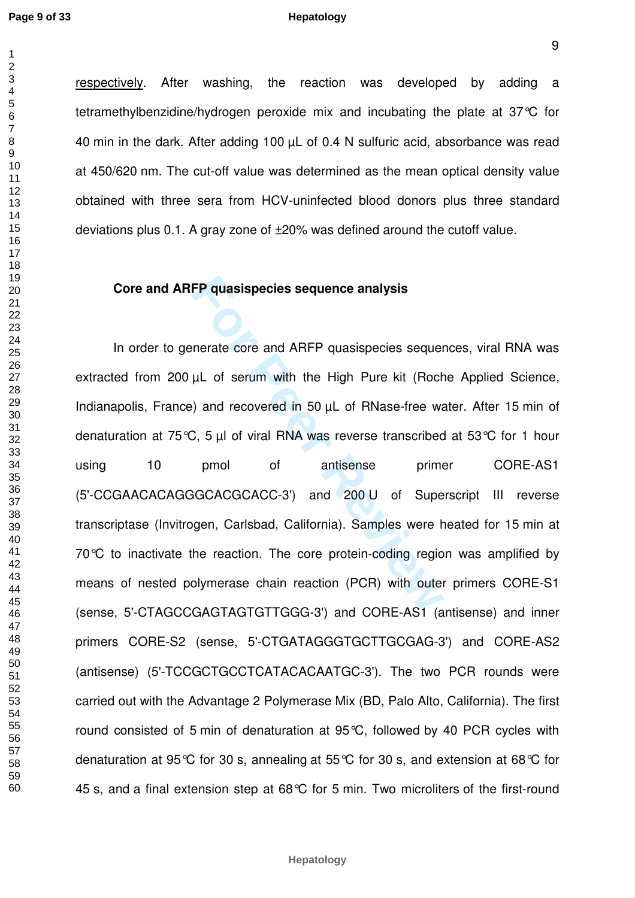$\mathbf{1}$  $\overline{2}$ 

#### **Hepatology**

respectively. After washing, the reaction was developed by adding a tetramethylbenzidine/hydrogen peroxide mix and incubating the plate at 37°C for 40 min in the dark. After adding 100 µL of 0.4 N sulfuric acid, absorbance was read at 450/620 nm. The cut-off value was determined as the mean optical density value obtained with three sera from HCV-uninfected blood donors plus three standard deviations plus 0.1. A gray zone of ±20% was defined around the cutoff value.

## **Core and ARFP quasispecies sequence analysis**

**FP quasispecies sequence analysis**<br>
Interate core and ARFP quasispecies sequence<br>  $\mu$ L of serum with the High Pure kit (Rocher)<br>
and recovered in 50  $\mu$ L of RNase-free wa<br>
2, 5  $\mu$ l of viral RNA was reverse transcribed In order to generate core and ARFP quasispecies sequences, viral RNA was extracted from 200 µL of serum with the High Pure kit (Roche Applied Science, Indianapolis, France) and recovered in 50 µL of RNase-free water. After 15 min of denaturation at 75°C, 5 µl of viral RNA was reverse transcribed at 53°C for 1 hour using 10 pmol of antisense primer CORE-AS1 (5'-CCGAACACAGGGCACGCACC-3') and 200 U of Superscript III reverse transcriptase (Invitrogen, Carlsbad, California). Samples were heated for 15 min at 70℃ to inactivate the reaction. The core protein-coding region was amplified by means of nested polymerase chain reaction (PCR) with outer primers CORE-S1 (sense, 5'-CTAGCCGAGTAGTGTTGGG-3') and CORE-AS1 (antisense) and inner primers CORE-S2 (sense, 5'-CTGATAGGGTGCTTGCGAG-3') and CORE-AS2 (antisense) (5'-TCCGCTGCCTCATACACAATGC-3'). The two PCR rounds were carried out with the Advantage 2 Polymerase Mix (BD, Palo Alto, California). The first round consisted of 5 min of denaturation at 95°C, followed by 40 PCR cycles with denaturation at 95°C for 30 s, annealing at 55°C for 30 s, and extension at 68°C for 45 s, and a final extension step at 68°C for 5 min. Two microliters of the first-round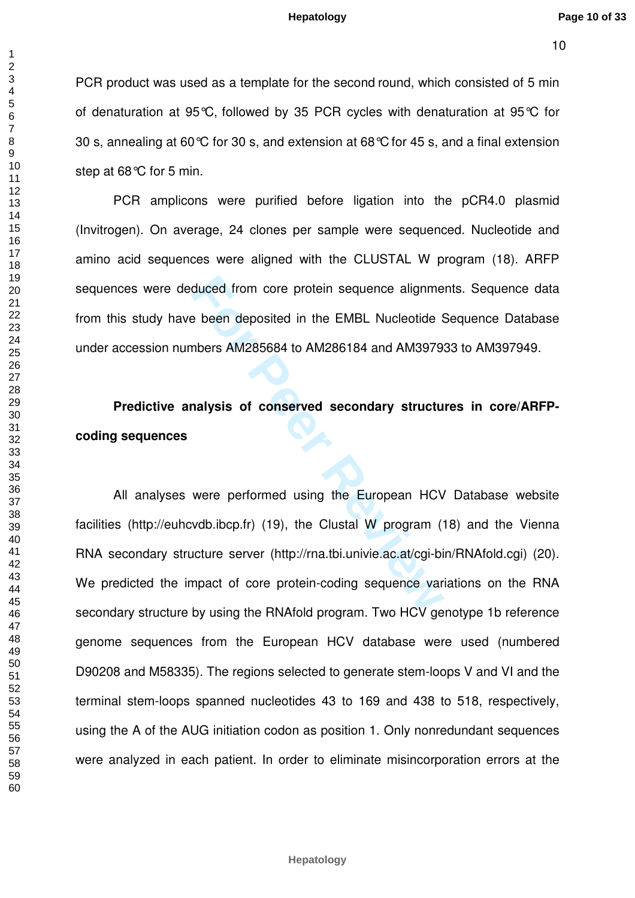PCR product was used as a template for the second round, which consisted of 5 min of denaturation at 95°C, followed by 35 PCR cycles with denaturation at 95°C fo r 30 s, annealing at 60°C for 30 s, and extension at 68°C for 45 s, and a final extension step at 68°C for 5 min.

PCR amplicons were purified before ligation into the pCR4.0 plasmid (Invitrogen). On average, 24 clones per sample were sequenced. Nucleotide and amino acid sequences were aligned with the CLUSTAL W program (18). ARFP sequences were deduced from core protein sequence alignments. Sequence data from this study have been deposited in the EMBL Nucleotide Sequence Database under accession numbers AM285684 to AM286184 and AM397933 to AM397949.

**Predictive analysis of conserved secondary structures in core/ARFPcoding sequences**

duced from core protein sequence alignme<br>
For Peen deposited in the EMBL Nucleotide<br>
Subsets AM285684 to AM286184 and AM3979<br> **For AM285684 to AM286184 and AM3979**<br> **AM285684 to AM286184 and AM3979**<br> **AM285684 to AM286184** All analyses were performed using the European HCV Database website facilities (http://euhcvdb.ibcp.fr) (19), the Clustal W program (18) and the Vienna RNA secondary structure server (http://rna.tbi.univie.ac.at/cgi-bin/RNAfold.cgi) (20). We predicted the impact of core protein-coding sequence variations on the RNA secondary structure by using the RNAfold program. Two HCV genotype 1b reference genome sequences from the European HCV database were used (numbered D90208 and M58335). The regions selected to generate stem-loops V and VI and the terminal stem-loops spanned nucleotides 43 to 169 and 438 to 518, respectively, using the A of the AUG initiation codon as position 1. Only nonredundant sequences were analyzed in each patient. In order to eliminate misincorporation errors at the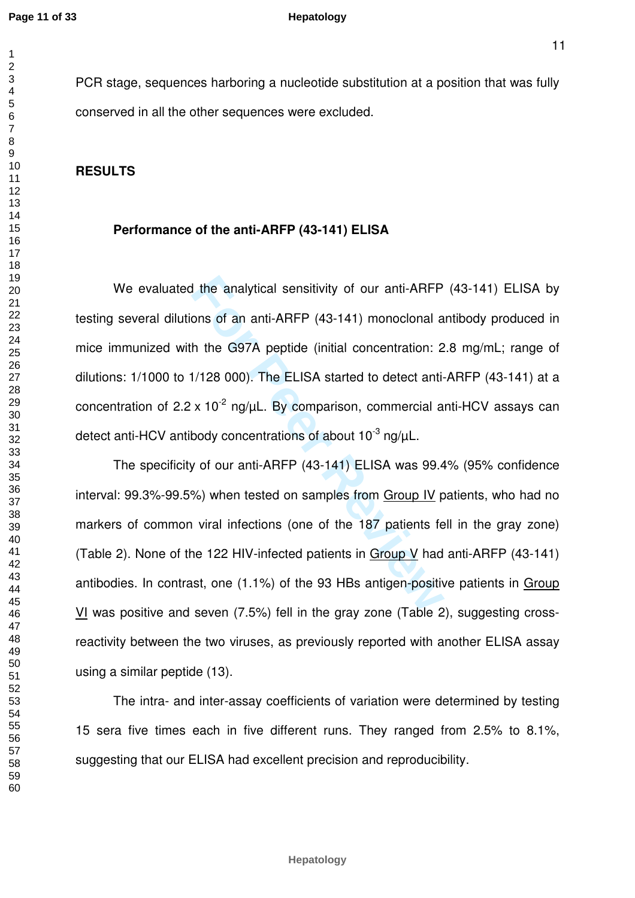$\mathbf{1}$  $\overline{2}$ 

PCR stage, sequences harboring a nucleotide substitution at a position that was fully

conserved in all the other sequences were excluded.

# **RESULTS**

## **Performance of the anti-ARFP (43-141) ELISA**

I the analytical sensitivity of our anti-ARFP<br>ons of an anti-ARFP (43-141) monoclonal a<br>h the G97A peptide (initial concentration: 2<br>1/128 000). The ELISA started to detect anti-<br> $\times$  10<sup>-2</sup> ng/ $\mu$ L. By comparison, comme We evaluated the analytical sensitivity of our anti-ARFP (43-141) ELISA by testing several dilutions of an anti-ARFP (43-141) monoclonal antibody produced in mice immunized with the G97A peptide (initial concentration: 2.8 mg/mL; range of dilutions: 1/1000 to 1/128 000). The ELISA started to detect anti-ARFP (43-141) at a concentration of  $2.2 \times 10^{-2}$  ng/ $\mu$ L. By comparison, commercial anti-HCV assays can detect anti-HCV antibody concentrations of about  $10^{-3}$  ng/ $\mu$ L.

The specificity of our anti-ARFP (43-141) ELISA was 99.4% (95% confidence interval: 99.3%-99.5%) when tested on samples from Group IV patients, who had no markers of common viral infections (one of the 187 patients fell in the gray zone) (Table 2). None of the 122 HIV-infected patients in Group V had anti-ARFP (43-141) antibodies. In contrast, one (1.1%) of the 93 HBs antigen-positive patients in Group VI was positive and seven (7.5%) fell in the gray zone (Table 2), suggesting crossreactivity between the two viruses, as previously reported with another ELISA assay using a similar peptide (13).

The intra- and inter-assay coefficients of variation were determined by testing 15 sera five times each in five different runs. They ranged from 2.5% to 8.1%, suggesting that our ELISA had excellent precision and reproducibility.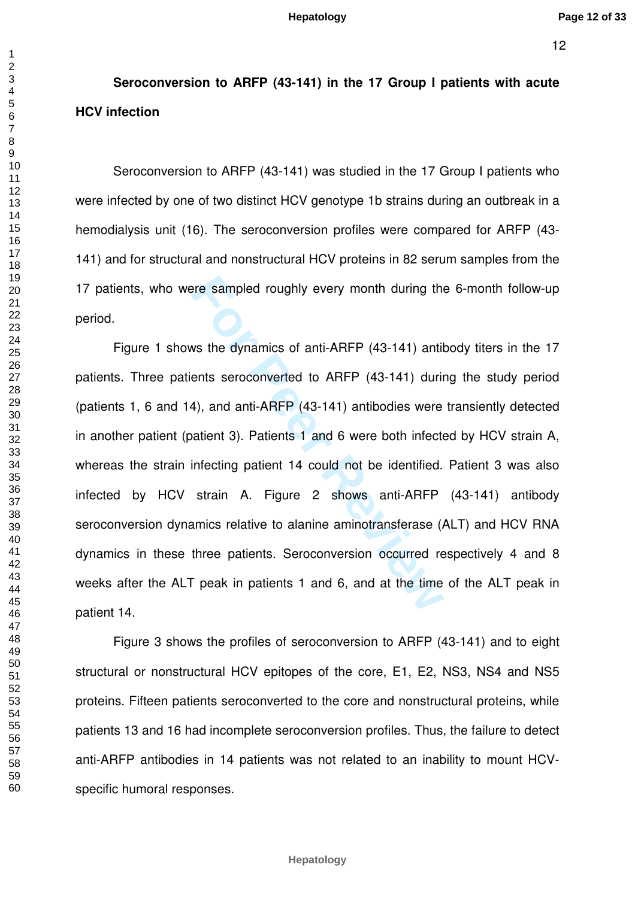# **Seroconversion to ARFP (43-141) in the 17 Group I patients with acute HCV infection**

Seroconversion to ARFP (43-141) was studied in the 17 Group I patients who were infected by one of two distinct HCV genotype 1b strains during an outbreak in a hemodialysis unit (16). The seroconversion profiles were compared for ARFP (43- 141) and for structural and nonstructural HCV proteins in 82 serum samples from the 17 patients, who were sampled roughly every month during the 6-month follow-up period.

For exampled roughly every month during the<br>
Solvet to ARFP (43-141) antilents seroconverted to ARFP (43-141) durin<br>
4), and anti-ARFP (43-141) antibodies were<br>
patient 3). Patients 1 and 6 were both infecter<br>
infecting pa Figure 1 shows the dynamics of anti-ARFP (43-141) antibody titers in the 17 patients. Three patients seroconverted to ARFP (43-141) during the study period (patients 1, 6 and 14), and anti-ARFP (43-141) antibodies were transiently detected in another patient (patient 3). Patients 1 and 6 were both infected by HCV strain A, whereas the strain infecting patient 14 could not be identified. Patient 3 was also infected by HCV strain A. Figure 2 shows anti-ARFP (43-141) antibody seroconversion dynamics relative to alanine aminotransferase (ALT) and HCV RNA dynamics in these three patients. Seroconversion occurred respectively 4 and 8 weeks after the ALT peak in patients 1 and 6, and at the time of the ALT peak in patient 14.

Figure 3 shows the profiles of seroconversion to ARFP (43-141) and to eight structural or nonstructural HCV epitopes of the core, E1, E2, NS3, NS4 and NS5 proteins. Fifteen patients seroconverted to the core and nonstructural proteins, while patients 13 and 16 had incomplete seroconversion profiles. Thus, the failure to detect anti-ARFP antibodies in 14 patients was not related to an inability to mount HCVspecific humoral responses.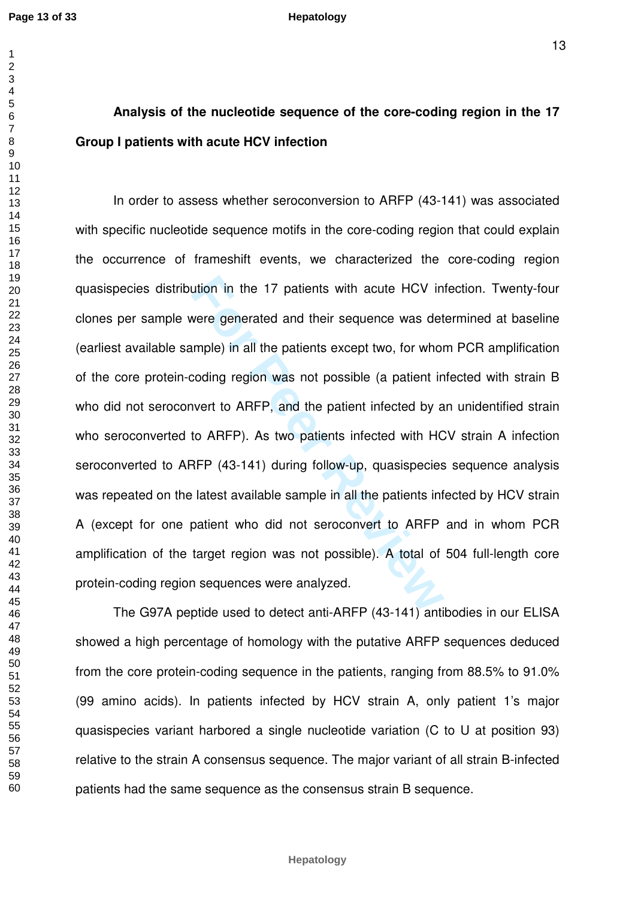$\overline{1}$ 

#### **Hepatology**

# **Analysis of the nucleotide sequence of the core-coding region in the 17 Group I patients with acute HCV infection**

ution in the 17 patients with acute HCV in<br>were generated and their sequence was det<br>imple) in all the patients except two, for whor<br>coding region was not possible (a patient in<br>ivert to ARFP, and the patient infected by a In order to assess whether seroconversion to ARFP (43-141) was associated with specific nucleotide sequence motifs in the core-coding region that could explain the occurrence of frameshift events, we characterized the core-coding region quasispecies distribution in the 17 patients with acute HCV infection. Twenty-four clones per sample were generated and their sequence was determined at baseline (earliest available sample) in all the patients except two, for whom PCR amplification of the core protein-coding region was not possible (a patient infected with strain B who did not seroconvert to ARFP, and the patient infected by an unidentified strain who seroconverted to ARFP). As two patients infected with HCV strain A infection seroconverted to ARFP (43-141) during follow-up, quasispecies sequence analysis was repeated on the latest available sample in all the patients infected by HCV strain A (except for one patient who did not seroconvert to ARFP and in whom PCR amplification of the target region was not possible). A total of 504 full-length core protein-coding region sequences were analyzed.

The G97A peptide used to detect anti-ARFP (43-141) antibodies in our ELISA showed a high percentage of homology with the putative ARFP sequences deduced from the core protein-coding sequence in the patients, ranging from 88.5% to 91.0% (99 amino acids). In patients infected by HCV strain A, only patient 1's major quasispecies variant harbored a single nucleotide variation (C to U at position 93) relative to the strain A consensus sequence. The major variant of all strain B-infected patients had the same sequence as the consensus strain B sequence.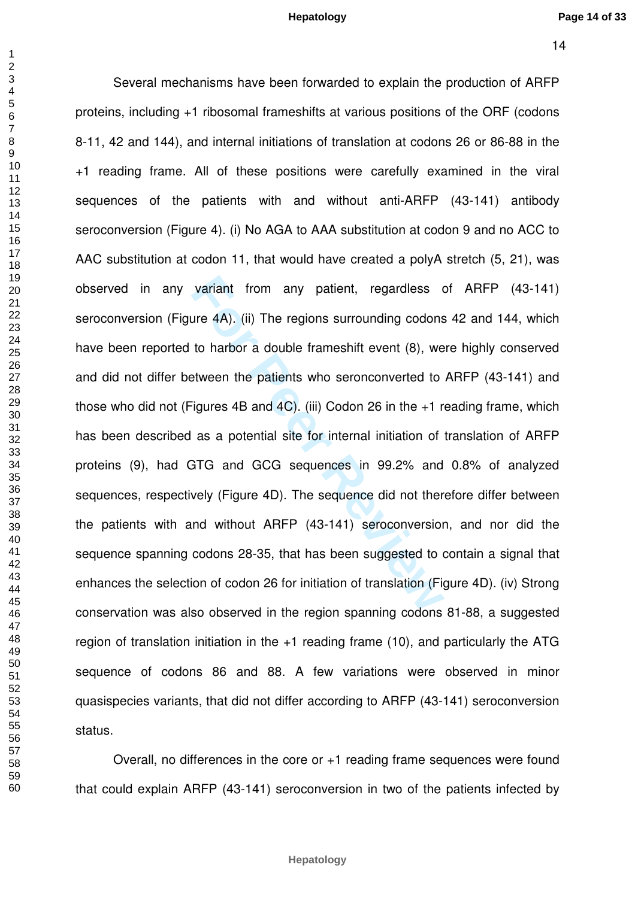Several mechanisms have been forwarded to explain the production of ARFP

variant from any patient, regardless our 4A). (ii) The regions surrounding codons<br>to harbor a double frameshift event (8), we<br>etween the patients who seronconverted to<br>igures 4B and 4C). (iii) Codon 26 in the +1 r<br>as a pot proteins, including +1 ribosomal frameshifts at various positions of the ORF (codons 8-11, 42 and 144), and internal initiations of translation at codons 26 or 86-88 in the +1 reading frame. All of these positions were carefully examined in the viral sequences of the patients with and without anti-ARFP (43-141) antibody seroconversion (Figure 4). (i) No AGA to AAA substitution at codon 9 and no ACC to AAC substitution at codon 11, that would have created a polyA stretch (5, 21), was observed in any variant from any patient, regardless of ARFP (43-141) seroconversion (Figure 4A). (ii) The regions surrounding codons 42 and 144, which have been reported to harbor a double frameshift event (8), were highly conserved and did not differ between the patients who seronconverted to ARFP (43-141) and those who did not (Figures 4B and 4C). (iii) Codon 26 in the +1 reading frame, which has been described as a potential site for internal initiation of translation of ARFP proteins (9), had GTG and GCG sequences in 99.2% and 0.8% of analyzed sequences, respectively (Figure 4D). The sequence did not therefore differ between the patients with and without ARFP (43-141) seroconversion, and nor did the sequence spanning codons 28-35, that has been suggested to contain a signal that enhances the selection of codon 26 for initiation of translation (Figure 4D). (iv) Strong conservation was also observed in the region spanning codons 81-88, a suggested region of translation initiation in the +1 reading frame (10), and particularly the ATG sequence of codons 86 and 88. A few variations were observed in minor quasispecies variants, that did not differ according to ARFP (43-141) seroconversion status.

Overall, no differences in the core or +1 reading frame sequences were found that could explain ARFP (43-141) seroconversion in two of the patients infected by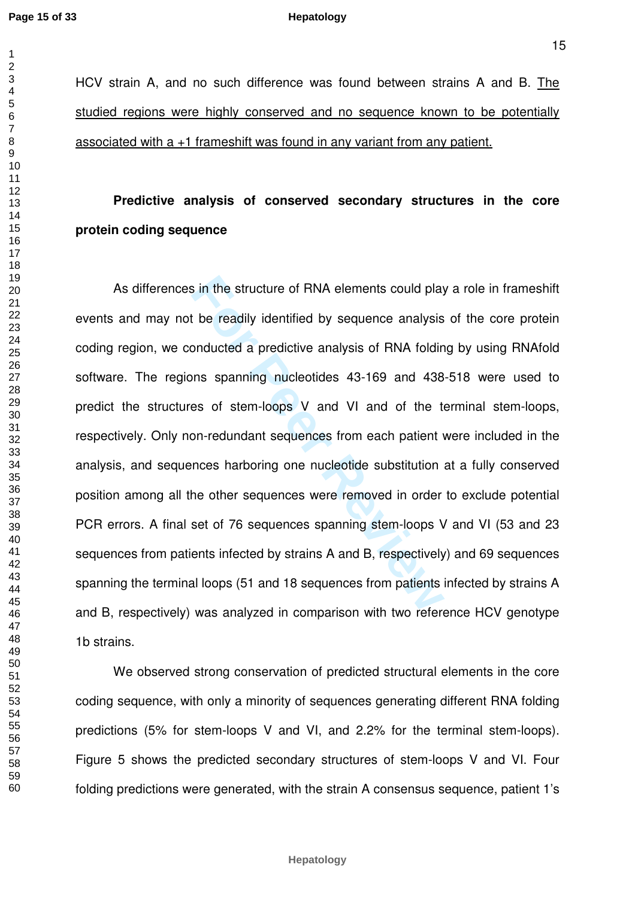HCV strain A, and no such difference was found between strains A and B. The studied regions were highly conserved and no sequence known to be potentially associated with a +1 frameshift was found in any variant from any patient.

# **Predictive analysis of conserved secondary structures in the core protein coding sequence**

**For PERT ANA SECUTE SECUTE SECUTE:** The readily identified by sequence analysis<br>
be readily identified by sequence analysis<br>
bonducted a predictive analysis of RNA foldin<br>
ms spanning nucleotides 43-169 and 438<br>
es of ste As differences in the structure of RNA elements could play a role in frameshift events and may not be readily identified by sequence analysis of the core protein coding region, we conducted a predictive analysis of RNA folding by using RNAfold software. The regions spanning nucleotides 43-169 and 438-518 were used to predict the structures of stem-loops V and VI and of the terminal stem-loops, respectively. Only non-redundant sequences from each patient were included in the analysis, and sequences harboring one nucleotide substitution at a fully conserved position among all the other sequences were removed in order to exclude potential PCR errors. A final set of 76 sequences spanning stem-loops V and VI (53 and 23 sequences from patients infected by strains A and B, respectively) and 69 sequences spanning the terminal loops (51 and 18 sequences from patients infected by strains A and B, respectively) was analyzed in comparison with two reference HCV genotype 1b strains.

We observed strong conservation of predicted structural elements in the core coding sequence, with only a minority of sequences generating different RNA folding predictions (5% for stem-loops V and VI, and 2.2% for the terminal stem-loops). Figure 5 shows the predicted secondary structures of stem-loops V and VI. Four folding predictions were generated, with the strain A consensus sequence, patient 1's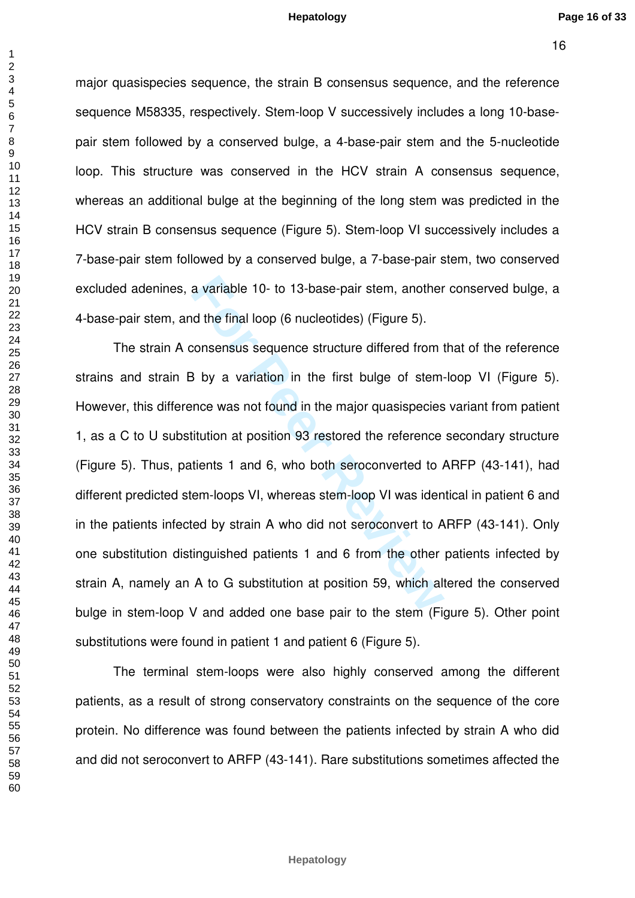major quasispecies sequence, the strain B consensus sequence, and the reference sequence M58335, respectively. Stem-loop V successively includes a long 10-basepair stem followed by a conserved bulge, a 4-base-pair stem and the 5-nucleotide loop. This structure was conserved in the HCV strain A consensus sequence, whereas an additional bulge at the beginning of the long stem was predicted in the HCV strain B consensus sequence (Figure 5). Stem-loop VI successively includes a 7-base-pair stem followed by a conserved bulge, a 7-base-pair stem, two conserved excluded adenines, a variable 10- to 13-base-pair stem, another conserved bulge, a 4-base-pair stem, and the final loop (6 nucleotides) (Figure 5).

a variable 10- to 13-base-pair stem, another<br>
d the final loop (6 nucleotides) (Figure 5).<br>
consensus sequence structure differed from to<br>
3 by a variation in the first bulge of stem-<br>
ince was not found in the major quasi The strain A consensus sequence structure differed from that of the reference strains and strain B by a variation in the first bulge of stem-loop VI (Figure 5). However, this difference was not found in the major quasispecies variant from patient 1, as a C to U substitution at position 93 restored the reference secondary structure (Figure 5). Thus, patients 1 and 6, who both seroconverted to ARFP (43-141), had different predicted stem-loops VI, whereas stem-loop VI was identical in patient 6 and in the patients infected by strain A who did not seroconvert to ARFP (43-141). Only one substitution distinguished patients 1 and 6 from the other patients infected by strain A, namely an A to G substitution at position 59, which altered the conserved bulge in stem-loop V and added one base pair to the stem (Figure 5). Other point substitutions were found in patient 1 and patient 6 (Figure 5).

The terminal stem-loops were also highly conserved among the different patients, as a result of strong conservatory constraints on the sequence of the core protein. No difference was found between the patients infected by strain A who did and did not seroconvert to ARFP (43-141). Rare substitutions sometimes affected the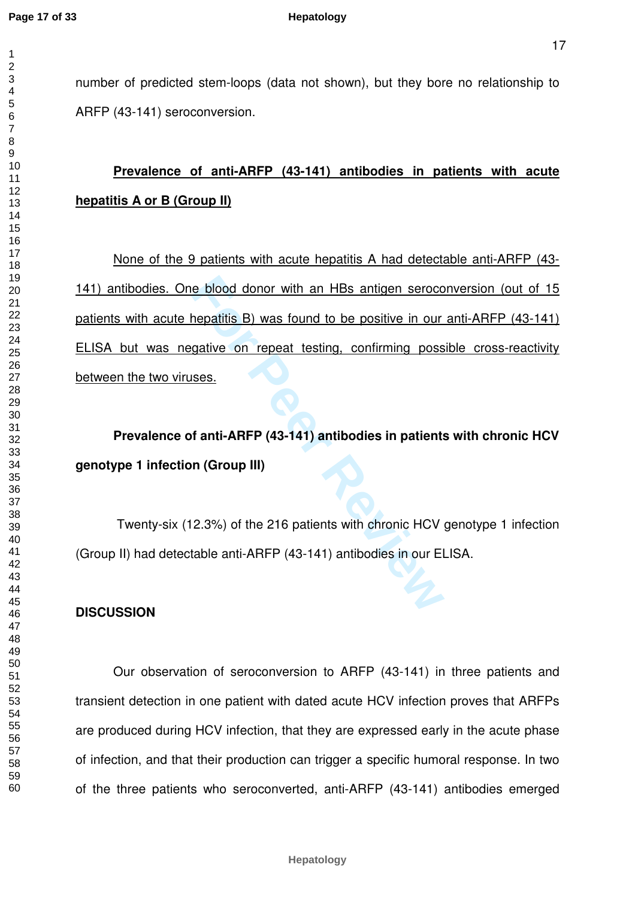number of predicted stem-loops (data not shown), but they bore no relationship to ARFP (43-141) seroconversion.

# **Prevalence of anti-ARFP (43-141) antibodies in patients with acute hepatitis A or B (Group II)**

**For Personal Example 12 and Section** 1 HBs antigen serocce the patitis B) was found to be positive in our gative on repeat testing, confirming poss ses.<br> **For Artical ARFP (43-141) antibodies in patients in (Group III)**<br> None of the 9 patients with acute hepatitis A had detectable anti-ARFP (43- 141) antibodies. One blood donor with an HBs antigen seroconversion (out of 15 patients with acute hepatitis B) was found to be positive in our anti-ARFP (43-141) ELISA but was negative on repeat testing, confirming possible cross-reactivity between the two viruses.

**Prevalence of anti-ARFP (43-141) antibodies in patients with chronic HCV genotype 1 infection (Group III)** 

 Twenty-six (12.3%) of the 216 patients with chronic HCV genotype 1 infection (Group II) had detectable anti-ARFP (43-141) antibodies in our ELISA.

### **DISCUSSION**

 Our observation of seroconversion to ARFP (43-141) in three patients and transient detection in one patient with dated acute HCV infection proves that ARFPs are produced during HCV infection, that they are expressed early in the acute phase of infection, and that their production can trigger a specific humoral response. In two of the three patients who seroconverted, anti-ARFP (43-141) antibodies emerged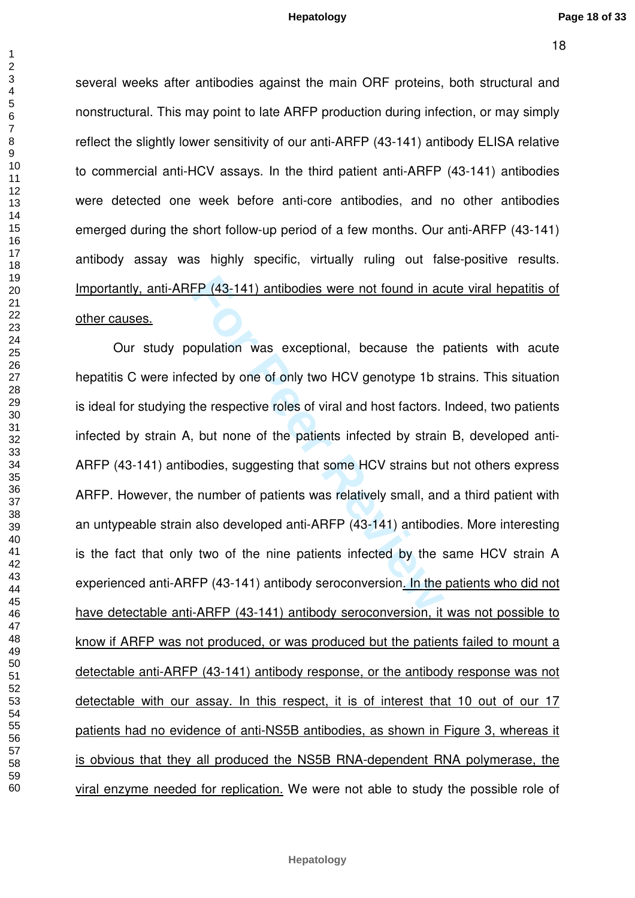several weeks after antibodies against the main ORF proteins, both structural and nonstructural. This may point to late ARFP production during infection, or may simply reflect the slightly lower sensitivity of our anti-ARFP (43-141) antibody ELISA relative to commercial anti-HCV assays. In the third patient anti-ARFP (43-141) antibodies were detected one week before anti-core antibodies, and no other antibodies emerged during the short follow-up period of a few months. Our anti-ARFP (43-141) antibody assay was highly specific, virtually ruling out false-positive results. Importantly, anti-ARFP (43-141) antibodies were not found in acute viral hepatitis of other causes.

FP (43-141) antibodies were not found in accompulation was exceptional, because the perceed by one of only two HCV genotype 1b s<br>the respective roles of viral and host factors.<br>by the respective roles of viral and host fac Our study population was exceptional, because the patients with acute hepatitis C were infected by one of only two HCV genotype 1b strains. This situation is ideal for studying the respective roles of viral and host factors. Indeed, two patients infected by strain A, but none of the patients infected by strain B, developed anti-ARFP (43-141) antibodies, suggesting that some HCV strains but not others express ARFP. However, the number of patients was relatively small, and a third patient with an untypeable strain also developed anti-ARFP (43-141) antibodies. More interesting is the fact that only two of the nine patients infected by the same HCV strain A experienced anti-ARFP (43-141) antibody seroconversion. In the patients who did not have detectable anti-ARFP (43-141) antibody seroconversion, it was not possible to know if ARFP was not produced, or was produced but the patients failed to mount a detectable anti-ARFP (43-141) antibody response, or the antibody response was not detectable with our assay. In this respect, it is of interest that 10 out of our 17 patients had no evidence of anti-NS5B antibodies, as shown in Figure 3, whereas it is obvious that they all produced the NS5B RNA-dependent RNA polymerase, the viral enzyme needed for replication. We were not able to study the possible role of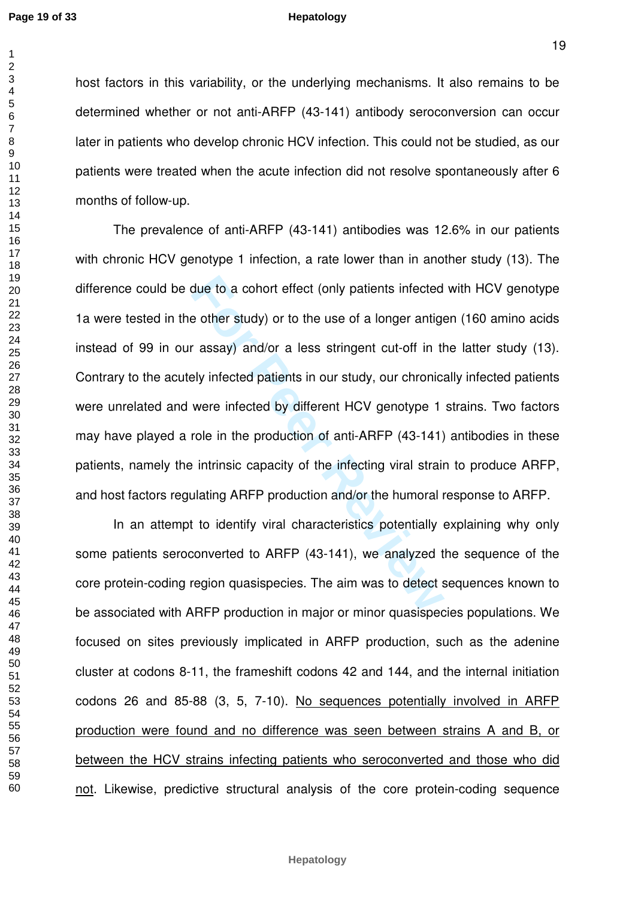$\mathbf{1}$  $\overline{2}$  $\overline{4}$  $\overline{7}$ 

#### **Hepatology**

host factors in this variability, or the underlying mechanisms. It also remains to be determined whether or not anti-ARFP (43-141) antibody seroconversion can occur later in patients who develop chronic HCV infection. This could not be studied, as our patients were treated when the acute infection did not resolve spontaneously after 6 months of follow-up.

due to a cohort effect (only patients infected<br>
e other study) or to the use of a longer antige<br>
For assay) and/or a less stringent cut-off in the<br>
Formal example in the production of anti-ARFP (43-141)<br>
For Production of The prevalence of anti-ARFP (43-141) antibodies was 12.6% in our patients with chronic HCV genotype 1 infection, a rate lower than in another study (13). The difference could be due to a cohort effect (only patients infected with HCV genotype 1a were tested in the other study) or to the use of a longer antigen (160 amino acids instead of 99 in our assay) and/or a less stringent cut-off in the latter study (13). Contrary to the acutely infected patients in our study, our chronically infected patients were unrelated and were infected by different HCV genotype 1 strains. Two factors may have played a role in the production of anti-ARFP (43-141) antibodies in these patients, namely the intrinsic capacity of the infecting viral strain to produce ARFP, and host factors regulating ARFP production and/or the humoral response to ARFP.

In an attempt to identify viral characteristics potentially explaining why only some patients seroconverted to ARFP (43-141), we analyzed the sequence of the core protein-coding region quasispecies. The aim was to detect sequences known to be associated with ARFP production in major or minor quasispecies populations. We focused on sites previously implicated in ARFP production, such as the adenine cluster at codons 8-11, the frameshift codons 42 and 144, and the internal initiation codons 26 and 85-88 (3, 5, 7-10). No sequences potentially involved in ARFP production were found and no difference was seen between strains A and B, or between the HCV strains infecting patients who seroconverted and those who did not. Likewise, predictive structural analysis of the core protein-coding sequence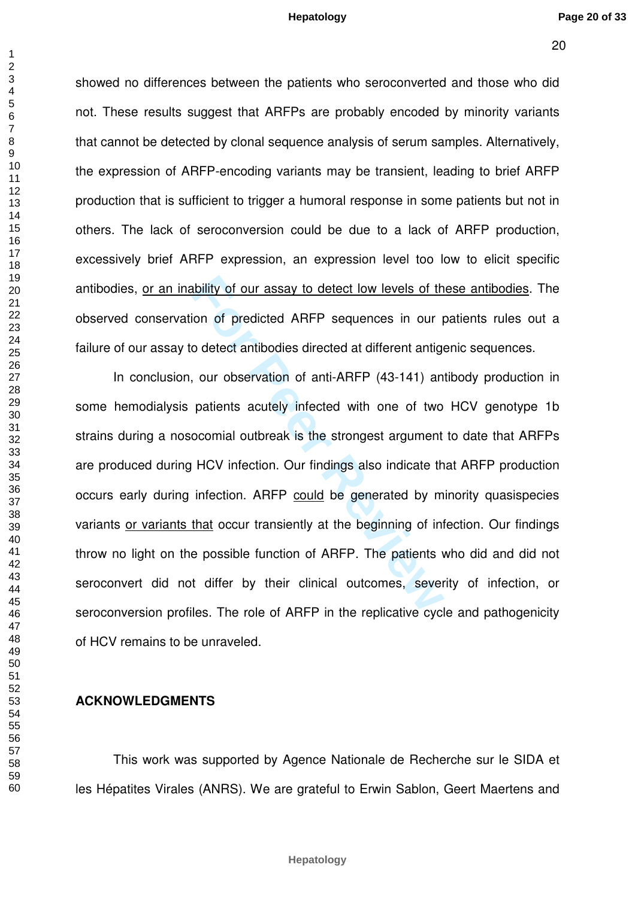showed no differences between the patients who seroconverted and those who did not. These results suggest that ARFPs are probably encoded by minority variants that cannot be detected by clonal sequence analysis of serum samples. Alternatively, the expression of ARFP-encoding variants may be transient, leading to brief ARFP production that is sufficient to trigger a humoral response in some patients but not in others. The lack of seroconversion could be due to a lack of ARFP production, excessively brief ARFP expression, an expression level too low to elicit specific antibodies, or an inability of our assay to detect low levels of these antibodies. The observed conservation of predicted ARFP sequences in our patients rules out a failure of our assay to detect antibodies directed at different antigenic sequences.

ability of our assay to detect low levels of the book of the control of predicted ARFP sequences in our poletect antibodies directed at different antige, our observation of anti-ARFP (43-141) an patients acutely infected w In conclusion, our observation of anti-ARFP (43-141) antibody production in some hemodialysis patients acutely infected with one of two HCV genotype 1b strains during a nosocomial outbreak is the strongest argument to date that ARFPs are produced during HCV infection. Our findings also indicate that ARFP production occurs early during infection. ARFP could be generated by minority quasispecies variants or variants that occur transiently at the beginning of infection. Our findings throw no light on the possible function of ARFP. The patients who did and did not seroconvert did not differ by their clinical outcomes, severity of infection, or seroconversion profiles. The role of ARFP in the replicative cycle and pathogenicity of HCV remains to be unraveled.

#### **ACKNOWLEDGMENTS**

 This work was supported by Agence Nationale de Recherche sur le SIDA et les Hépatites Virales (ANRS). We are grateful to Erwin Sablon, Geert Maertens and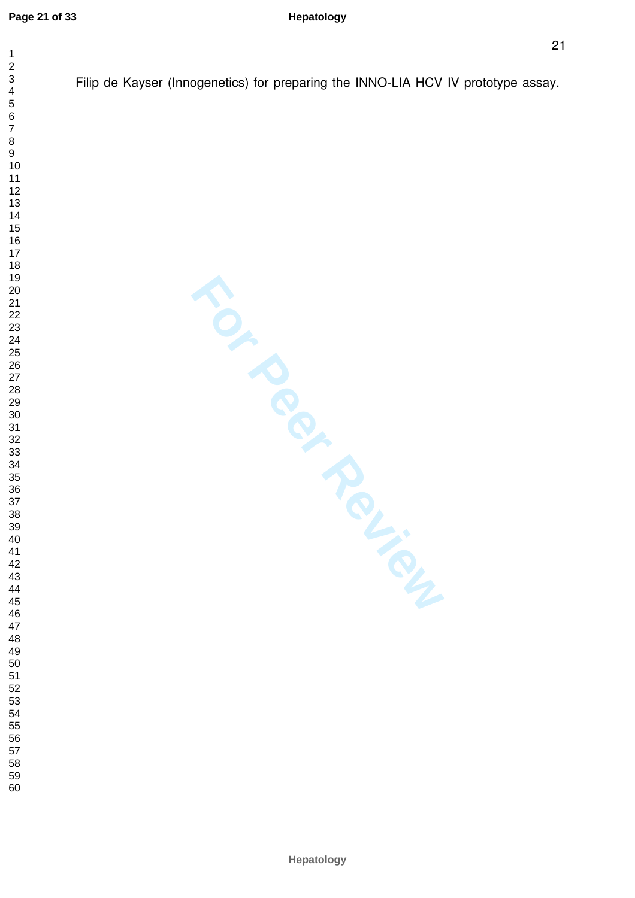$\overline{1}$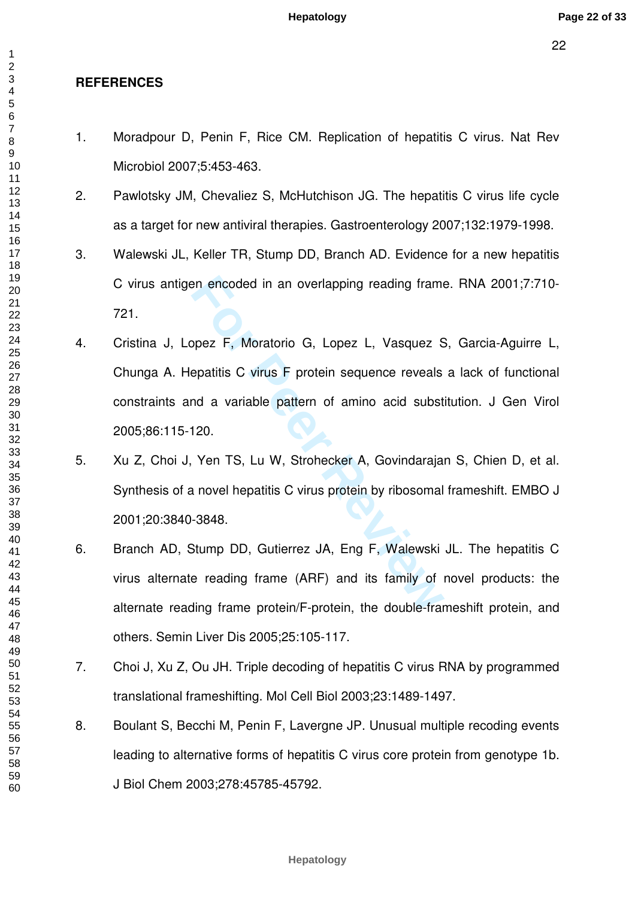# **REFERENCES**

- 1. Moradpour D, Penin F, Rice CM. Replication of hepatitis C virus. Nat Rev Microbiol 2007;5:453-463.
- 2. Pawlotsky JM, Chevaliez S, McHutchison JG. The hepatitis C virus life cycle as a target for new antiviral therapies. Gastroenterology 2007;132:1979-1998.
- 3. Walewski JL, Keller TR, Stump DD, Branch AD. Evidence for a new hepatitis C virus antigen encoded in an overlapping reading frame. RNA 2001;7:710- 721.
- F, Moratorio G, Lopez L, Vasquez S<br>
papez F, Moratorio G, Lopez L, Vasquez S<br>
epatitis C virus F protein sequence reveals<br>
nd a variable pattern of amino acid subst<br>
120.<br>
Yen TS, Lu W, Strohecker A, Govindaraja<br>
13848.<br>
S 4. Cristina J, Lopez F, Moratorio G, Lopez L, Vasquez S, Garcia-Aguirre L, Chunga A. Hepatitis C virus F protein sequence reveals a lack of functional constraints and a variable pattern of amino acid substitution. J Gen Virol 2005;86:115-120.
- 5. Xu Z, Choi J, Yen TS, Lu W, Strohecker A, Govindarajan S, Chien D, et al. Synthesis of a novel hepatitis C virus protein by ribosomal frameshift. EMBO J 2001;20:3840-3848.
- 6. Branch AD, Stump DD, Gutierrez JA, Eng F, Walewski JL. The hepatitis C virus alternate reading frame (ARF) and its family of novel products: the alternate reading frame protein/F-protein, the double-frameshift protein, and others. Semin Liver Dis 2005;25:105-117.
- 7. Choi J, Xu Z, Ou JH. Triple decoding of hepatitis C virus RNA by programmed translational frameshifting. Mol Cell Biol 2003;23:1489-1497.
- 8. Boulant S, Becchi M, Penin F, Lavergne JP. Unusual multiple recoding events leading to alternative forms of hepatitis C virus core protein from genotype 1b. J Biol Chem 2003;278:45785-45792.

 $\overline{1}$  $\overline{2}$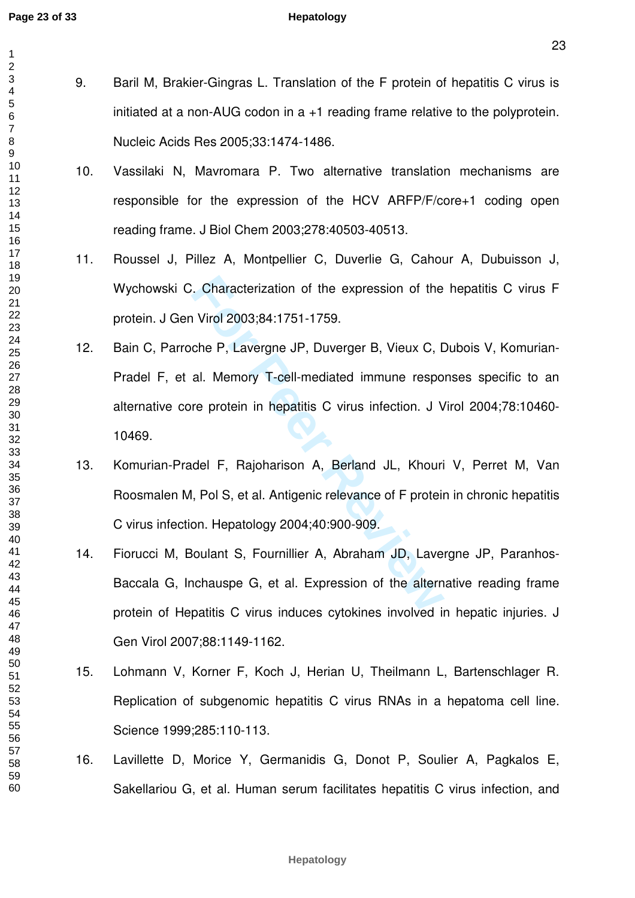$\mathbf{1}$  $\overline{2}$  $\overline{4}$  $\overline{7}$ 

- 9. Baril M, Brakier-Gingras L. Translation of the F protein of hepatitis C virus is initiated at a non-AUG codon in a +1 reading frame relative to the polyprotein. Nucleic Acids Res 2005;33:1474-1486.
	- 10. Vassilaki N, Mavromara P. Two alternative translation mechanisms are responsible for the expression of the HCV ARFP/F/core+1 coding open reading frame. J Biol Chem 2003;278:40503-40513.
	- 11. Roussel J, Pillez A, Montpellier C, Duverlie G, Cahour A, Dubuisson J, Wychowski C. Characterization of the expression of the hepatitis C virus F protein. J Gen Virol 2003;84:1751-1759.
	- For Characterization of the expression of the Nirol 2003;84:1751-1759.<br>
	Che P, Lavergne JP, Duverger B, Vieux C, I<br>
	al. Memory T-cell-mediated immune respo<br>
	re protein in hepatitis C virus infection. J V<br>
	del F, Rajohariso 12. Bain C, Parroche P, Lavergne JP, Duverger B, Vieux C, Dubois V, Komurian-Pradel F, et al. Memory T-cell-mediated immune responses specific to an alternative core protein in hepatitis C virus infection. J Virol 2004;78:10460- 10469.
	- 13. Komurian-Pradel F, Rajoharison A, Berland JL, Khouri V, Perret M, Van Roosmalen M, Pol S, et al. Antigenic relevance of F protein in chronic hepatitis C virus infection. Hepatology 2004;40:900-909.
	- 14. Fiorucci M, Boulant S, Fournillier A, Abraham JD, Lavergne JP, Paranhos-Baccala G, Inchauspe G, et al. Expression of the alternative reading frame protein of Hepatitis C virus induces cytokines involved in hepatic injuries. J Gen Virol 2007;88:1149-1162.
	- 15. Lohmann V, Korner F, Koch J, Herian U, Theilmann L, Bartenschlager R. Replication of subgenomic hepatitis C virus RNAs in a hepatoma cell line. Science 1999;285:110-113.
	- 16. Lavillette D, Morice Y, Germanidis G, Donot P, Soulier A, Pagkalos E, Sakellariou G, et al. Human serum facilitates hepatitis C virus infection, and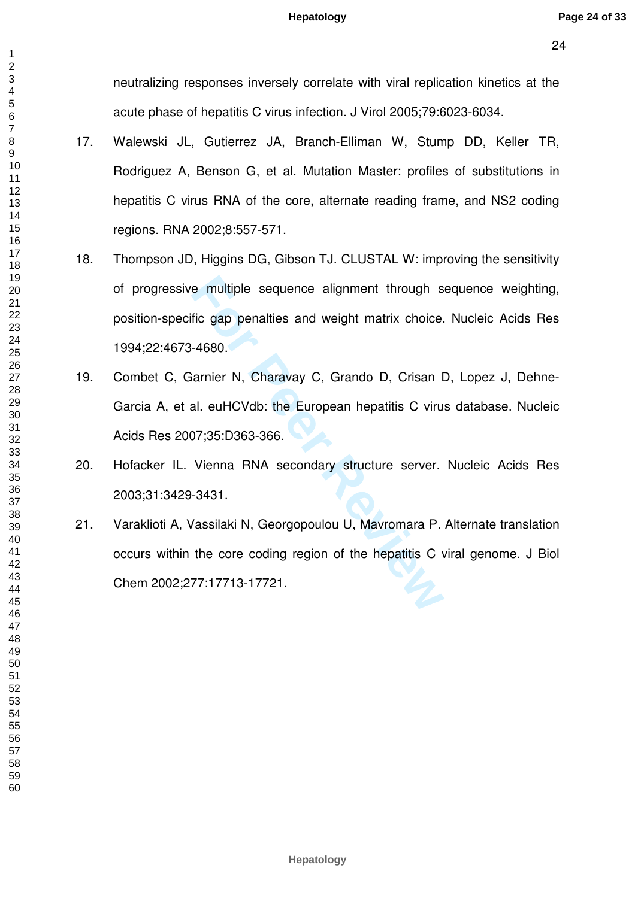neutralizing responses inversely correlate with viral replication kinetics at the acute phase of hepatitis C virus infection. J Virol 2005;79:6023-6034.

- 17. Walewski JL, Gutierrez JA, Branch-Elliman W, Stump DD, Keller TR, Rodriguez A, Benson G, et al. Mutation Master: profiles of substitutions in hepatitis C virus RNA of the core, alternate reading frame, and NS2 coding regions. RNA 2002;8:557-571.
- **For Peer Review** 18. Thompson JD, Higgins DG, Gibson TJ. CLUSTAL W: improving the sensitivity of progressive multiple sequence alignment through sequence weighting, position-specific gap penalties and weight matrix choice. Nucleic Acids Res 1994;22:4673-4680.
- 19. Combet C, Garnier N, Charavay C, Grando D, Crisan D, Lopez J, Dehne-Garcia A, et al. euHCVdb: the European hepatitis C virus database. Nucleic Acids Res 2007;35:D363-366.
- 20. Hofacker IL. Vienna RNA secondary structure server. Nucleic Acids Res 2003;31:3429-3431.
- 21. Varaklioti A, Vassilaki N, Georgopoulou U, Mavromara P. Alternate translation occurs within the core coding region of the hepatitis C viral genome. J Biol Chem 2002;277:17713-17721.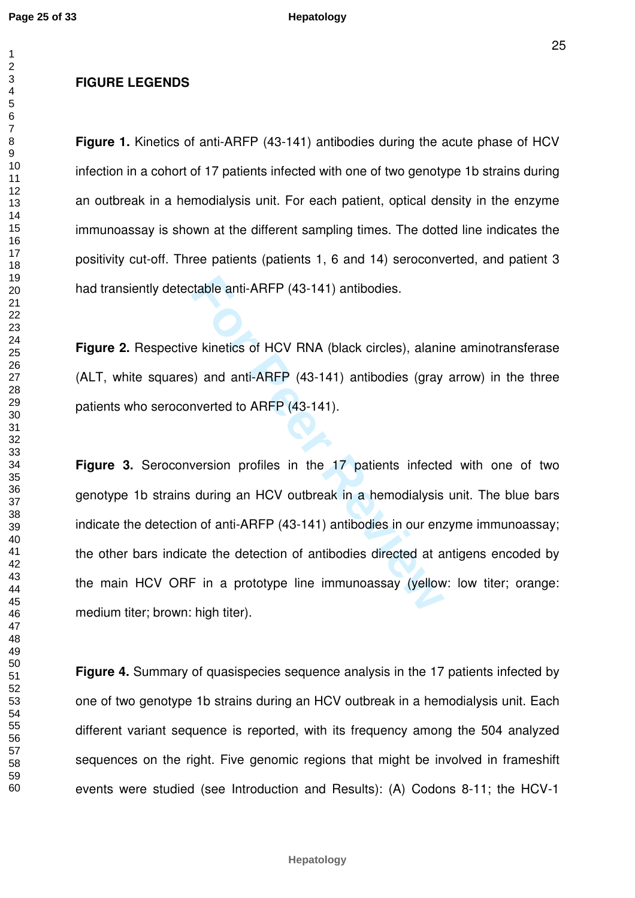$\overline{1}$  $\overline{2}$ 

**Figure 1.** Kinetics of anti-ARFP (43-141) antibodies during the acute phase of HCV infection in a cohort of 17 patients infected with one of two genotype 1b strains during an outbreak in a hemodialysis unit. For each patient, optical density in the enzyme immunoassay is shown at the different sampling times. The dotted line indicates the positivity cut-off. Three patients (patients 1, 6 and 14) seroconverted, and patient 3 had transiently detectable anti-ARFP (43-141) antibodies.

**Figure 2.** Respective kinetics of HCV RNA (black circles), alanine aminotransferase (ALT, white squares) and anti-ARFP (43-141) antibodies (gray arrow) in the three patients who seroconverted to ARFP (43-141).

rable anti-ARFP (43-141) antibodies.<br>
For Kinetics of HCV RNA (black circles), alanin<br>
For Peer Review, and anti-ARFP (43-141) antibodies (gray<br>
inverted to ARFP (43-141).<br>
For Peer Reviewald and HCV outbreak in a hemodial **Figure 3.** Seroconversion profiles in the 17 patients infected with one of two genotype 1b strains during an HCV outbreak in a hemodialysis unit. The blue bars indicate the detection of anti-ARFP (43-141) antibodies in our enzyme immunoassay; the other bars indicate the detection of antibodies directed at antigens encoded by the main HCV ORF in a prototype line immunoassay (yellow: low titer; orange: medium titer; brown: high titer).

**Figure 4.** Summary of quasispecies sequence analysis in the 17 patients infected by one of two genotype 1b strains during an HCV outbreak in a hemodialysis unit. Each different variant sequence is reported, with its frequency among the 504 analyzed sequences on the right. Five genomic regions that might be involved in frameshift events were studied (see Introduction and Results): (A) Codons 8-11; the HCV-1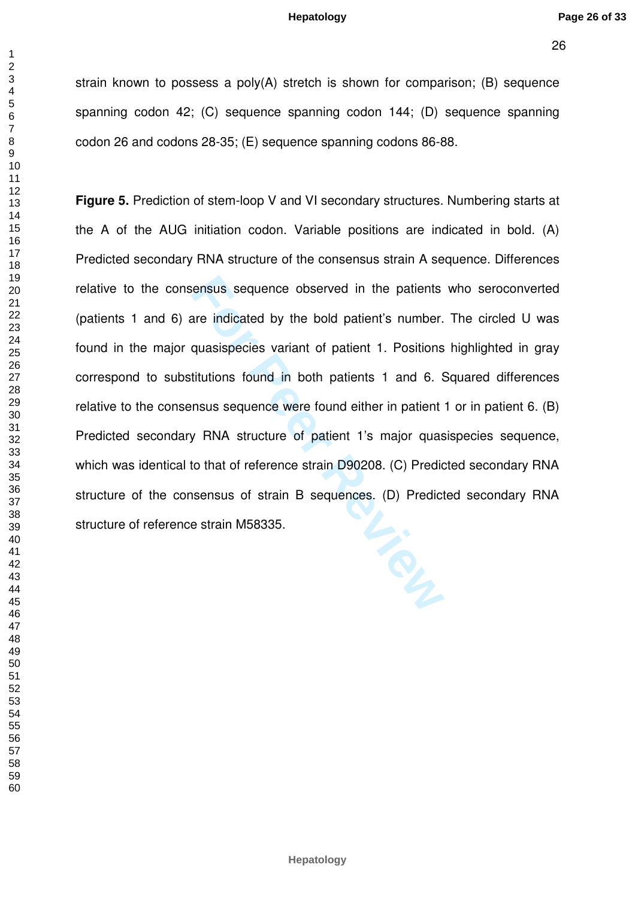$\mathbf{1}$ 

strain known to possess a poly(A) stretch is shown for comparison; (B) sequence spanning codon 42; (C) sequence spanning codon 144; (D) sequence spanning codon 26 and codons 28-35; (E) sequence spanning codons 86-88.

For Persus sequence observed in the patients<br>
For Persuasi are indicated by the bold patient's number.<br> **Equasispecies variant of patient 1. Positions**<br> **Example 1. Positions**<br> **Example 1. Positions**<br> **Example 1. Positions Figure 5.** Prediction of stem-loop V and VI secondary structures. Numbering starts at the A of the AUG initiation codon. Variable positions are indicated in bold. (A) Predicted secondary RNA structure of the consensus strain A sequence. Differences relative to the consensus sequence observed in the patients who seroconverted (patients 1 and 6) are indicated by the bold patient's number. The circled U was found in the major quasispecies variant of patient 1. Positions highlighted in gray correspond to substitutions found in both patients 1 and 6. Squared differences relative to the consensus sequence were found either in patient 1 or in patient 6. (B) Predicted secondary RNA structure of patient 1's major quasispecies sequence, which was identical to that of reference strain D90208. (C) Predicted secondary RNA structure of the consensus of strain B sequences. (D) Predicted secondary RNA structure of reference strain M58335.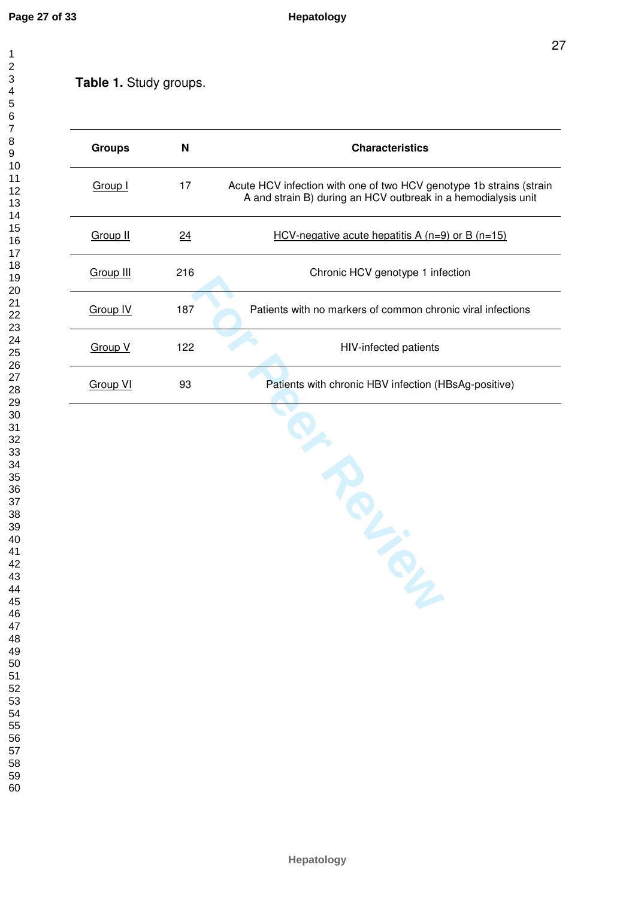$\overline{1}$  $\overline{2}$  $\overline{4}$ 

# **Table 1.** Study groups.

| <b>Groups</b>   | N   | <b>Characteristics</b>                                                                                                               |
|-----------------|-----|--------------------------------------------------------------------------------------------------------------------------------------|
| <b>Group I</b>  | 17  | Acute HCV infection with one of two HCV genotype 1b strains (strain<br>A and strain B) during an HCV outbreak in a hemodialysis unit |
| <b>Group II</b> | 24  | <u>HCV-negative acute hepatitis A (n=9) or B (n=15)</u>                                                                              |
| Group III       | 216 | Chronic HCV genotype 1 infection                                                                                                     |
| Group IV        | 187 | Patients with no markers of common chronic viral infections                                                                          |
| Group V         | 122 | HIV-infected patients                                                                                                                |
| Group VI        | 93  | Patients with chronic HBV infection (HBsAg-positive)                                                                                 |

**For Percy Review**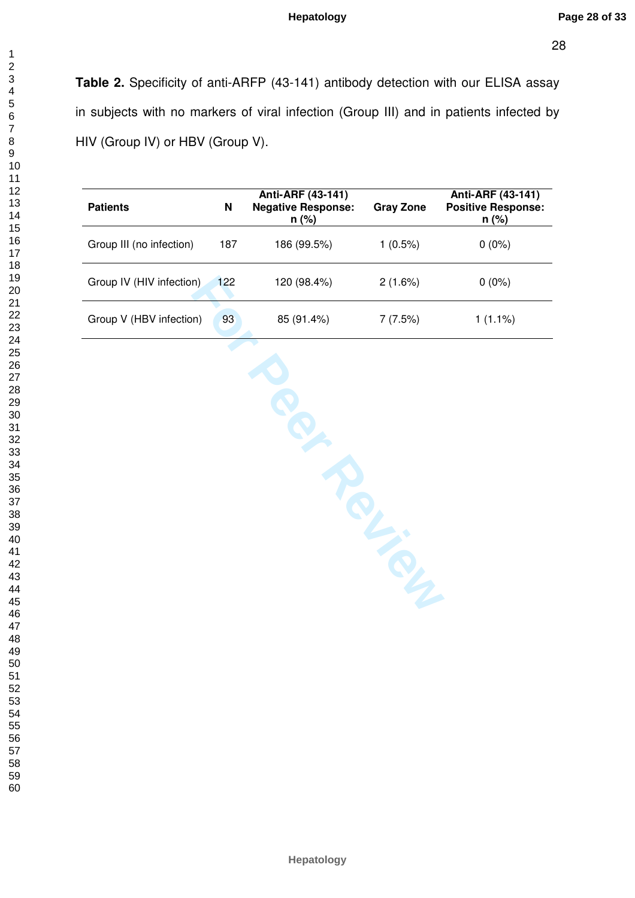$\mathbf{1}$ 

  **Table 2.** Specificity of anti-ARFP (43-141) antibody detection with our ELISA assay in subjects with no markers of viral infection (Group III) and in patients infected by HIV (Group IV) or HBV (Group V).

| <b>Patients</b>          | N   | Anti-ARF (43-141)<br><b>Negative Response:</b><br>$n$ (%) | <b>Gray Zone</b> | Anti-ARF (43-141)<br><b>Positive Response:</b><br>$n (\%)$ |
|--------------------------|-----|-----------------------------------------------------------|------------------|------------------------------------------------------------|
| Group III (no infection) | 187 | 186 (99.5%)                                               | $1(0.5\%)$       | $0(0\%)$                                                   |
| Group IV (HIV infection) | 122 | 120 (98.4%)                                               | 2(1.6%)          | $0(0\%)$                                                   |
| Group V (HBV infection)  | 93  | 85 (91.4%)                                                | 7 (7.5%)         | $1(1.1\%)$                                                 |

**Per Review**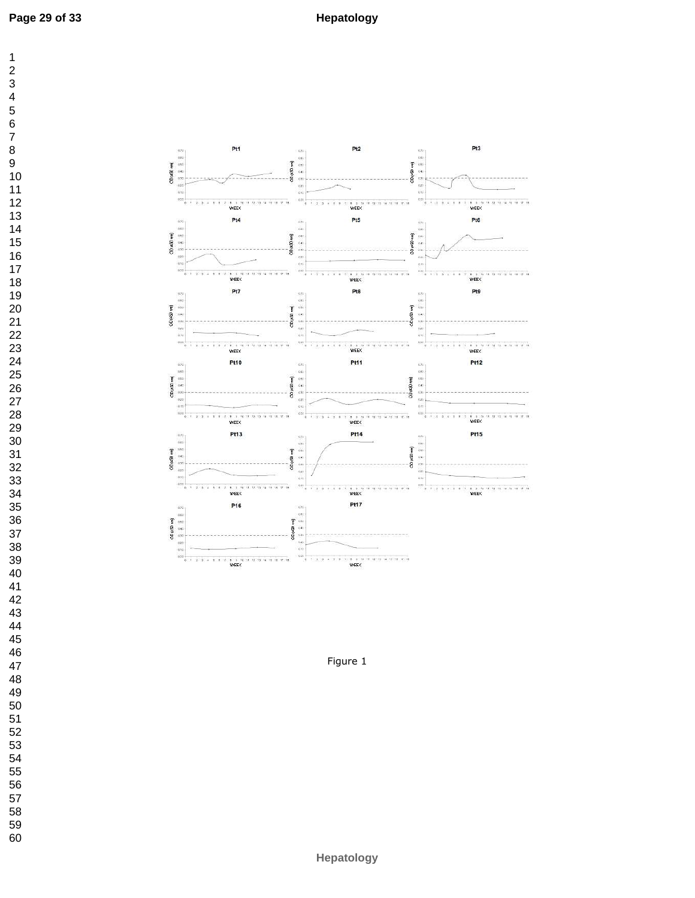



Figure 1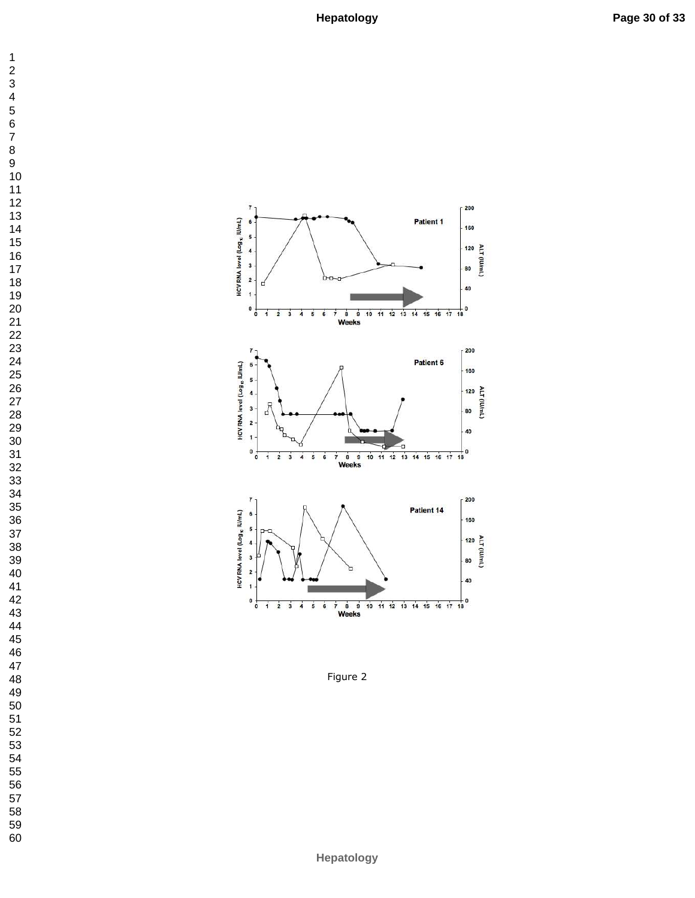



Figure 2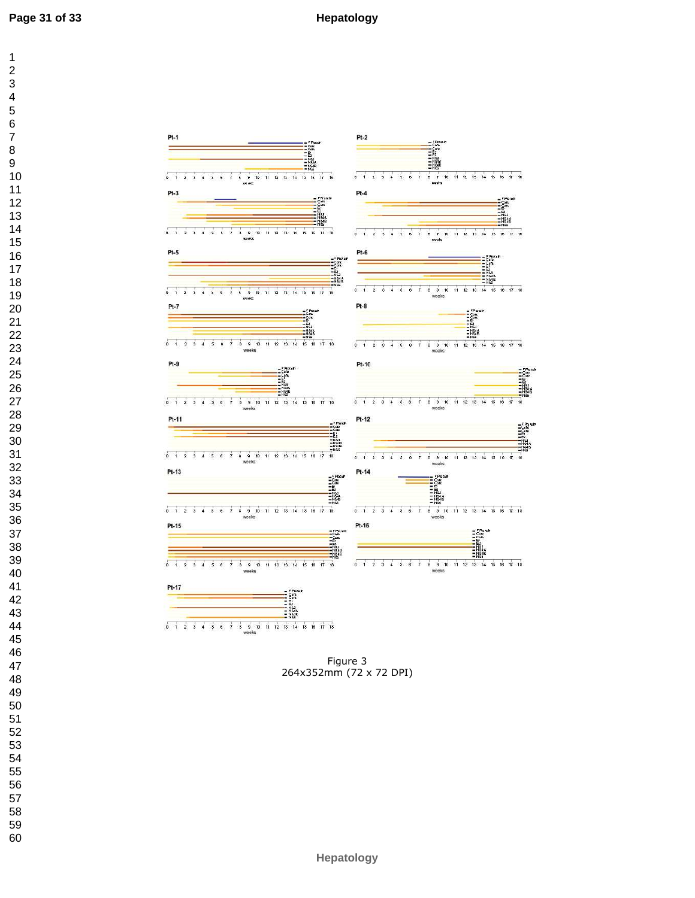

Figure 3 264x352mm (72 x 72 DPI)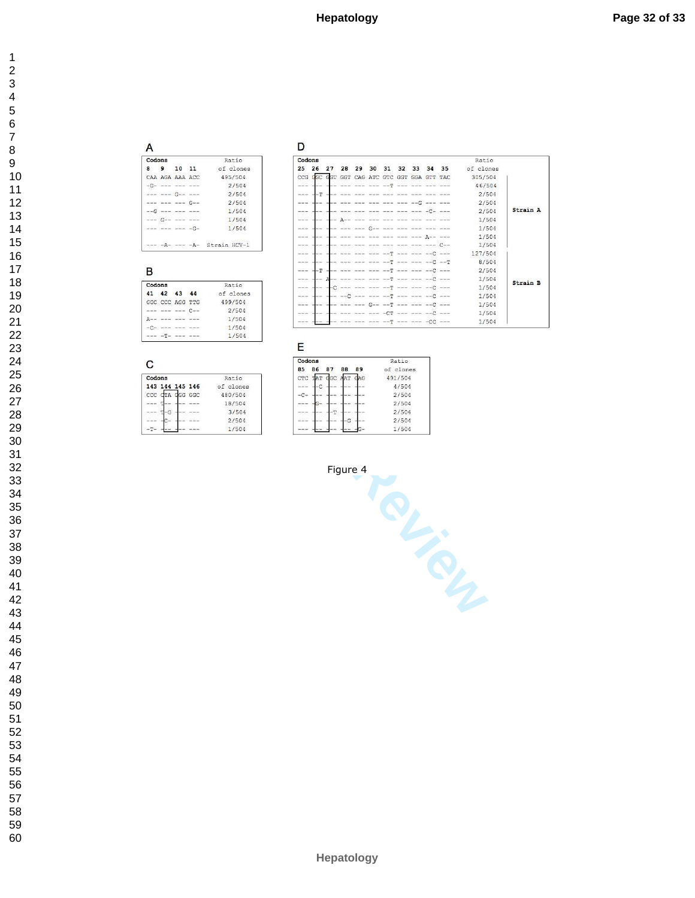#### $\overline{A}$ Codons Ratio  $8 \qquad 9 \qquad 10 \quad 11$ of clones 495/504 CAA AGA AAA ACC  $-G-$  --- --- --- $2/504$ --- --- G-- ---2/504  $\begin{tabular}{ll} --- & -- & -- & -- & G-- \\ --G & -- & -- & -- \\ \end{tabular}$  $2/504$  $\frac{1/504}{1/504}$  $---$   $G---$   $---$ --- --- --- -G- $1/504$  $--- A--- A--- A---$  Strain HCV-1

#### $\blacksquare$

 $\mathbf C$ 

| Codons   |             |    |                 | Ratio     |
|----------|-------------|----|-----------------|-----------|
| 41       | 42          | 43 | 44              | of clones |
|          | GGC CCC AGG |    | mm <sub>C</sub> | 499/504   |
|          |             |    |                 | 2/504     |
|          |             |    |                 | 1/504     |
|          |             |    |                 | 1/504     |
| $m = 10$ |             |    |                 | 1/504     |

| Codons          |                             |                         |                                                  |                                       |       |        |                                                                                                                                                                                                                                                                                                                                                                                                                                                                            |       |                            |                                                                                                     | Ratio     |          |
|-----------------|-----------------------------|-------------------------|--------------------------------------------------|---------------------------------------|-------|--------|----------------------------------------------------------------------------------------------------------------------------------------------------------------------------------------------------------------------------------------------------------------------------------------------------------------------------------------------------------------------------------------------------------------------------------------------------------------------------|-------|----------------------------|-----------------------------------------------------------------------------------------------------|-----------|----------|
| 25              | 26                          | 27                      | 28                                               | 29                                    | 30    | 31     | 32                                                                                                                                                                                                                                                                                                                                                                                                                                                                         |       | 33 34                      | 35                                                                                                  | of clones |          |
| CCG             | GGC                         | GGT                     |                                                  | GGT CAG ATC GTC GGT GGA GTT TAC       |       |        |                                                                                                                                                                                                                                                                                                                                                                                                                                                                            |       |                            |                                                                                                     | 305/504   |          |
| ---             |                             |                         |                                                  |                                       |       |        |                                                                                                                                                                                                                                                                                                                                                                                                                                                                            |       |                            |                                                                                                     | 46/504    |          |
| ---             | $-\mathbb{T}$               |                         |                                                  |                                       |       |        |                                                                                                                                                                                                                                                                                                                                                                                                                                                                            |       |                            |                                                                                                     | 2/504     |          |
| $- - -$         |                             |                         |                                                  |                                       |       |        |                                                                                                                                                                                                                                                                                                                                                                                                                                                                            | $--C$ |                            |                                                                                                     | 2/504     |          |
| ---             |                             |                         |                                                  |                                       |       |        |                                                                                                                                                                                                                                                                                                                                                                                                                                                                            |       | $-\Gamma$ - $-\$           |                                                                                                     | 2/504     | Strain A |
| $- - -$         |                             |                         |                                                  |                                       |       |        |                                                                                                                                                                                                                                                                                                                                                                                                                                                                            |       |                            |                                                                                                     | 1/504     |          |
| ---             |                             |                         |                                                  |                                       | $G--$ |        |                                                                                                                                                                                                                                                                                                                                                                                                                                                                            |       |                            |                                                                                                     | 1/504     |          |
| ---             |                             |                         | $\cdots \cdots \cdots$                           |                                       |       | $ -$   |                                                                                                                                                                                                                                                                                                                                                                                                                                                                            |       |                            |                                                                                                     | 1/504     |          |
| ----            |                             |                         |                                                  |                                       |       |        |                                                                                                                                                                                                                                                                                                                                                                                                                                                                            |       |                            | mon non-non-Con-                                                                                    | 1/504     |          |
| ---             |                             |                         |                                                  |                                       |       |        | $\frac{1}{2} \left( \frac{1}{2} \right) \left( \frac{1}{2} \right) \left( \frac{1}{2} \right) \left( \frac{1}{2} \right) \left( \frac{1}{2} \right) \left( \frac{1}{2} \right) \left( \frac{1}{2} \right) \left( \frac{1}{2} \right) \left( \frac{1}{2} \right) \left( \frac{1}{2} \right) \left( \frac{1}{2} \right) \left( \frac{1}{2} \right) \left( \frac{1}{2} \right) \left( \frac{1}{2} \right) \left( \frac{1}{2} \right) \left( \frac{1}{2} \right) \left( \frac$ |       |                            | $--- C$ $--- C$                                                                                     | 127/504   |          |
|                 | <b>REMOVE AND RESIDENCE</b> |                         |                                                  |                                       |       | $---T$ |                                                                                                                                                                                                                                                                                                                                                                                                                                                                            |       |                            | $T = -1$                                                                                            | 8/504     |          |
| ---             |                             |                         | www.min                                          |                                       |       |        |                                                                                                                                                                                                                                                                                                                                                                                                                                                                            |       | $---T$ --- --- -- -- -- -- |                                                                                                     | 2/504     |          |
| ----            |                             |                         |                                                  | me we had 11 am her set 11 am six and |       |        |                                                                                                                                                                                                                                                                                                                                                                                                                                                                            |       |                            | $\mathbf{m} = \sum_{i=1}^{n} a_i \mathbf{w}_i$ and $\mathbf{w}_i = \sum_{i=1}^{n} a_i \mathbf{w}_i$ | 1/504     | Strain B |
| $- - -$         |                             | $-\sqrt{1-\frac{1}{2}}$ |                                                  |                                       |       |        |                                                                                                                                                                                                                                                                                                                                                                                                                                                                            |       |                            |                                                                                                     | 1/504     |          |
| ---             |                             |                         |                                                  |                                       |       |        |                                                                                                                                                                                                                                                                                                                                                                                                                                                                            |       |                            | $\mathbb{R}^n$ and $\mathbb{R}^n$ are not proved that $\mathbb{R}^n$ are not proved that            | 1/504     |          |
| ---             |                             |                         | $\ldots$ and $\ldots$ $\ldots$ $\ldots$ $\ldots$ |                                       |       |        |                                                                                                                                                                                                                                                                                                                                                                                                                                                                            |       |                            |                                                                                                     | 1/504     |          |
| <b>COLORADO</b> | and they                    |                         |                                                  |                                       |       |        |                                                                                                                                                                                                                                                                                                                                                                                                                                                                            |       |                            |                                                                                                     | 1/504     |          |
| <b>MARK AVE</b> |                             |                         |                                                  | man and complete the                  |       | $- -T$ |                                                                                                                                                                                                                                                                                                                                                                                                                                                                            |       | $--- ---- -CC ----$        |                                                                                                     | 1/504     |          |

| Codons          | Ratio     |
|-----------------|-----------|
| 143 144 145 146 | of clones |
| ccc<br>dGG GGC  | 480/504   |
|                 | 18/504    |
|                 | 3/504     |
|                 | 2/504     |
|                 | 1/504     |

| Codons |    |                | Ratio     |
|--------|----|----------------|-----------|
| 85     | 86 | 89<br>88<br>87 | of clones |
| CTC    |    | AT GGC AAT GAG | 491/504   |
| $\sim$ | c  |                | 4/504     |
|        |    |                | 2/504     |
| $\sim$ |    |                | 2/504     |
| --     |    | m              | 2/504     |
|        |    | G              | 2/504     |
|        |    |                | 1/504     |

Figure 4

**For Per Action**<br> **For Per Action**<br> **For Per Action 2**<br> **For Peer Action 2**<br> **For Peer Action 2**<br> **For Peer Action 2**<br> **For Peer Action 2**<br> **For Peer Action 2**<br> **For Peer Action 21504**<br> **Figure 4**<br> **Figure 4**<br> **Figure 4**<br>

 $\mathbf 1$ 

60